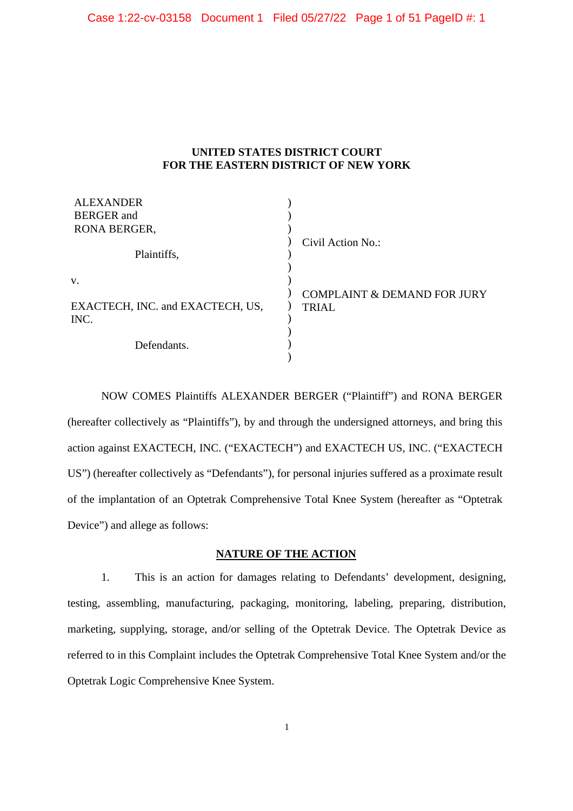#### **UNITED STATES DISTRICT COURT FOR THE EASTERN DISTRICT OF NEW YORK**

| <b>ALEXANDER</b><br><b>BERGER</b> and<br>RONA BERGER, |                                                        |
|-------------------------------------------------------|--------------------------------------------------------|
| Plaintiffs,                                           | Civil Action No.:                                      |
| V.                                                    |                                                        |
| EXACTECH, INC. and EXACTECH, US,<br>INC.              | <b>COMPLAINT &amp; DEMAND FOR JURY</b><br><b>TRIAL</b> |
| Defendants.                                           |                                                        |

NOW COMES Plaintiffs ALEXANDER BERGER ("Plaintiff") and RONA BERGER (hereafter collectively as "Plaintiffs"), by and through the undersigned attorneys, and bring this action against EXACTECH, INC. ("EXACTECH") and EXACTECH US, INC. ("EXACTECH US") (hereafter collectively as "Defendants"), for personal injuries suffered as a proximate result of the implantation of an Optetrak Comprehensive Total Knee System (hereafter as "Optetrak Device") and allege as follows:

## **NATURE OF THE ACTION**

1. This is an action for damages relating to Defendants' development, designing, testing, assembling, manufacturing, packaging, monitoring, labeling, preparing, distribution, marketing, supplying, storage, and/or selling of the Optetrak Device. The Optetrak Device as referred to in this Complaint includes the Optetrak Comprehensive Total Knee System and/or the Optetrak Logic Comprehensive Knee System.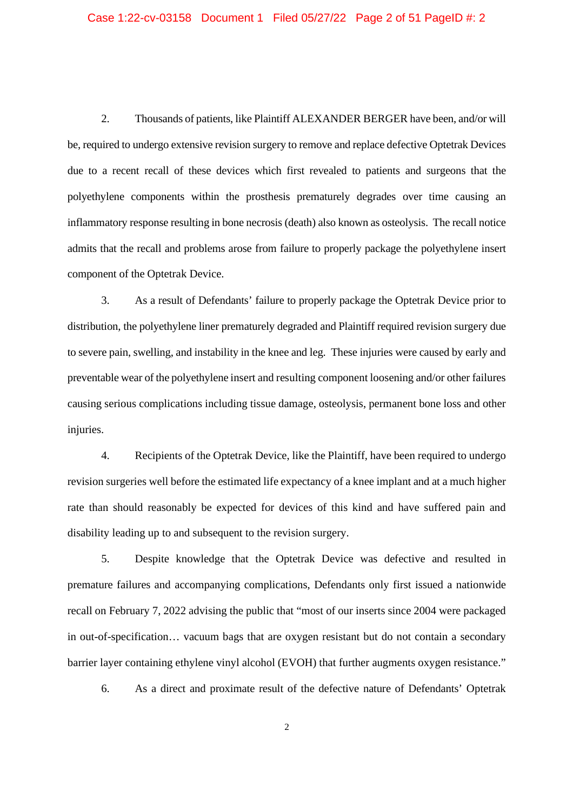2. Thousands of patients, like Plaintiff ALEXANDER BERGER have been, and/or will be, required to undergo extensive revision surgery to remove and replace defective Optetrak Devices due to a recent recall of these devices which first revealed to patients and surgeons that the polyethylene components within the prosthesis prematurely degrades over time causing an inflammatory response resulting in bone necrosis (death) also known as osteolysis. The recall notice admits that the recall and problems arose from failure to properly package the polyethylene insert component of the Optetrak Device.

3. As a result of Defendants' failure to properly package the Optetrak Device prior to distribution, the polyethylene liner prematurely degraded and Plaintiff required revision surgery due to severe pain, swelling, and instability in the knee and leg. These injuries were caused by early and preventable wear of the polyethylene insert and resulting component loosening and/or other failures causing serious complications including tissue damage, osteolysis, permanent bone loss and other injuries.

4. Recipients of the Optetrak Device, like the Plaintiff, have been required to undergo revision surgeries well before the estimated life expectancy of a knee implant and at a much higher rate than should reasonably be expected for devices of this kind and have suffered pain and disability leading up to and subsequent to the revision surgery.

5. Despite knowledge that the Optetrak Device was defective and resulted in premature failures and accompanying complications, Defendants only first issued a nationwide recall on February 7, 2022 advising the public that "most of our inserts since 2004 were packaged in out-of-specification… vacuum bags that are oxygen resistant but do not contain a secondary barrier layer containing ethylene vinyl alcohol (EVOH) that further augments oxygen resistance."

6. As a direct and proximate result of the defective nature of Defendants' Optetrak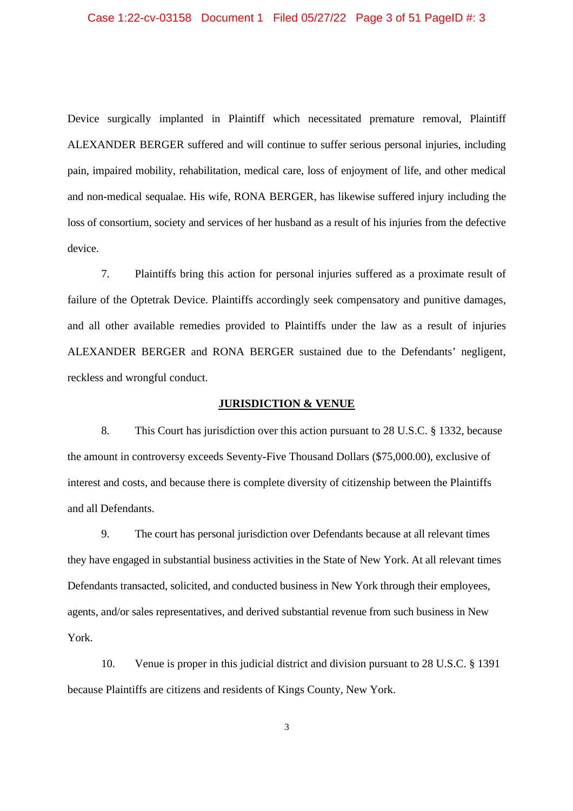Device surgically implanted in Plaintiff which necessitated premature removal, Plaintiff ALEXANDER BERGER suffered and will continue to suffer serious personal injuries, including pain, impaired mobility, rehabilitation, medical care, loss of enjoyment of life, and other medical and non-medical sequalae. His wife, RONA BERGER, has likewise suffered injury including the loss of consortium, society and services of her husband as a result of his injuries from the defective device.

7. Plaintiffs bring this action for personal injuries suffered as a proximate result of failure of the Optetrak Device. Plaintiffs accordingly seek compensatory and punitive damages, and all other available remedies provided to Plaintiffs under the law as a result of injuries ALEXANDER BERGER and RONA BERGER sustained due to the Defendants' negligent, reckless and wrongful conduct.

#### **JURISDICTION & VENUE**

8. This Court has jurisdiction over this action pursuant to 28 U.S.C. § 1332, because the amount in controversy exceeds Seventy-Five Thousand Dollars (\$75,000.00), exclusive of interest and costs, and because there is complete diversity of citizenship between the Plaintiffs and all Defendants.

9. The court has personal jurisdiction over Defendants because at all relevant times they have engaged in substantial business activities in the State of New York. At all relevant times Defendants transacted, solicited, and conducted business in New York through their employees, agents, and/or sales representatives, and derived substantial revenue from such business in New York.

10. Venue is proper in this judicial district and division pursuant to 28 U.S.C. § 1391 because Plaintiffs are citizens and residents of Kings County, New York.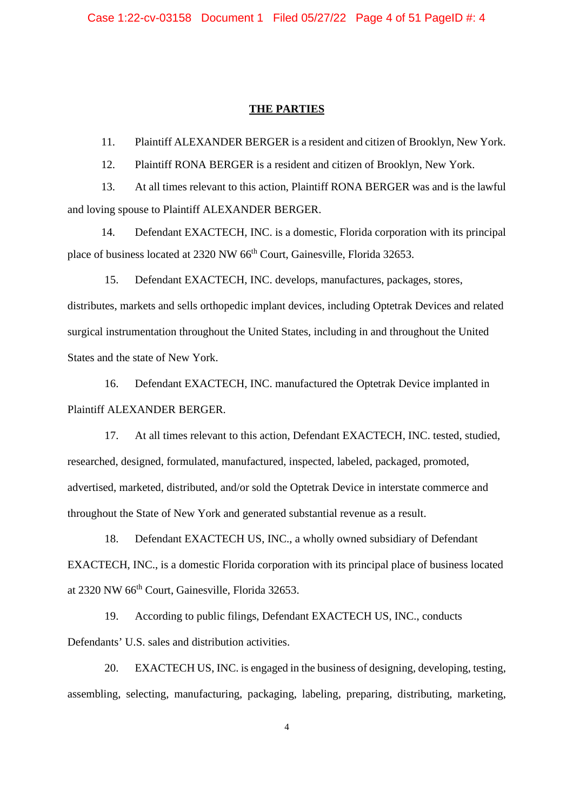#### **THE PARTIES**

11. Plaintiff ALEXANDER BERGER is a resident and citizen of Brooklyn, New York.

12. Plaintiff RONA BERGER is a resident and citizen of Brooklyn, New York.

13. At all times relevant to this action, Plaintiff RONA BERGER was and is the lawful and loving spouse to Plaintiff ALEXANDER BERGER.

14. Defendant EXACTECH, INC. is a domestic, Florida corporation with its principal place of business located at 2320 NW 66th Court, Gainesville, Florida 32653.

15. Defendant EXACTECH, INC. develops, manufactures, packages, stores, distributes, markets and sells orthopedic implant devices, including Optetrak Devices and related surgical instrumentation throughout the United States, including in and throughout the United States and the state of New York.

16. Defendant EXACTECH, INC. manufactured the Optetrak Device implanted in Plaintiff ALEXANDER BERGER.

17. At all times relevant to this action, Defendant EXACTECH, INC. tested, studied, researched, designed, formulated, manufactured, inspected, labeled, packaged, promoted, advertised, marketed, distributed, and/or sold the Optetrak Device in interstate commerce and throughout the State of New York and generated substantial revenue as a result.

18. Defendant EXACTECH US, INC., a wholly owned subsidiary of Defendant EXACTECH, INC., is a domestic Florida corporation with its principal place of business located at 2320 NW 66<sup>th</sup> Court, Gainesville, Florida 32653.

19. According to public filings, Defendant EXACTECH US, INC., conducts Defendants' U.S. sales and distribution activities.

20. EXACTECH US, INC. is engaged in the business of designing, developing, testing, assembling, selecting, manufacturing, packaging, labeling, preparing, distributing, marketing,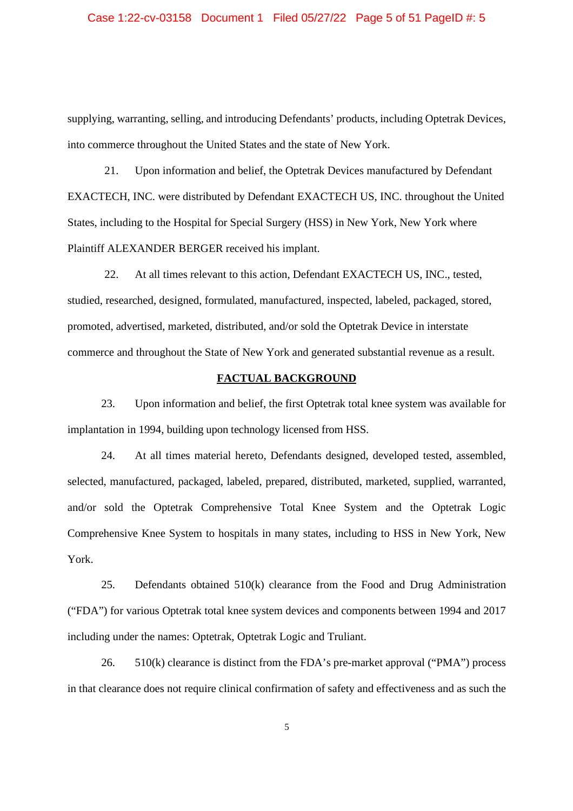### Case 1:22-cv-03158 Document 1 Filed 05/27/22 Page 5 of 51 PageID #: 5

supplying, warranting, selling, and introducing Defendants' products, including Optetrak Devices, into commerce throughout the United States and the state of New York.

21. Upon information and belief, the Optetrak Devices manufactured by Defendant EXACTECH, INC. were distributed by Defendant EXACTECH US, INC. throughout the United States, including to the Hospital for Special Surgery (HSS) in New York, New York where Plaintiff ALEXANDER BERGER received his implant.

22. At all times relevant to this action, Defendant EXACTECH US, INC., tested, studied, researched, designed, formulated, manufactured, inspected, labeled, packaged, stored, promoted, advertised, marketed, distributed, and/or sold the Optetrak Device in interstate commerce and throughout the State of New York and generated substantial revenue as a result.

#### **FACTUAL BACKGROUND**

23. Upon information and belief, the first Optetrak total knee system was available for implantation in 1994, building upon technology licensed from HSS.

24. At all times material hereto, Defendants designed, developed tested, assembled, selected, manufactured, packaged, labeled, prepared, distributed, marketed, supplied, warranted, and/or sold the Optetrak Comprehensive Total Knee System and the Optetrak Logic Comprehensive Knee System to hospitals in many states, including to HSS in New York, New York.

25. Defendants obtained 510(k) clearance from the Food and Drug Administration ("FDA") for various Optetrak total knee system devices and components between 1994 and 2017 including under the names: Optetrak, Optetrak Logic and Truliant.

26. 510(k) clearance is distinct from the FDA's pre-market approval ("PMA") process in that clearance does not require clinical confirmation of safety and effectiveness and as such the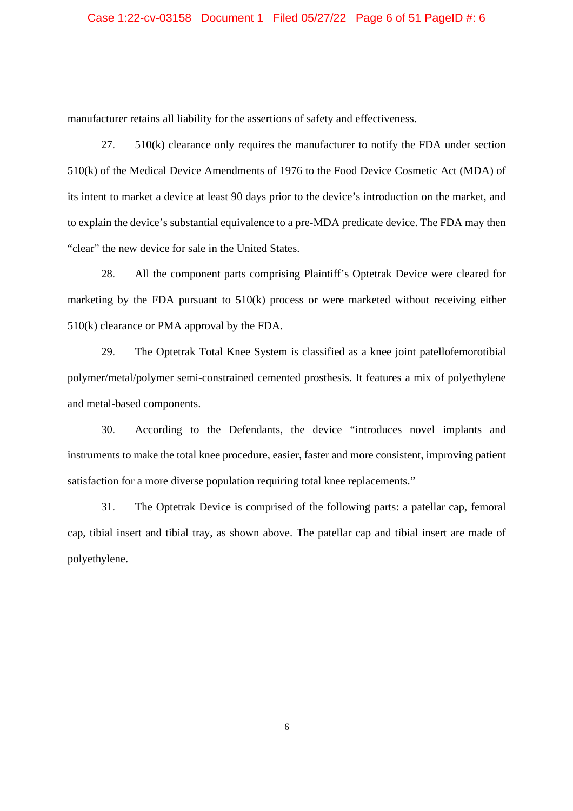manufacturer retains all liability for the assertions of safety and effectiveness.

27. 510(k) clearance only requires the manufacturer to notify the FDA under section 510(k) of the Medical Device Amendments of 1976 to the Food Device Cosmetic Act (MDA) of its intent to market a device at least 90 days prior to the device's introduction on the market, and to explain the device's substantial equivalence to a pre-MDA predicate device. The FDA may then "clear" the new device for sale in the United States.

28. All the component parts comprising Plaintiff's Optetrak Device were cleared for marketing by the FDA pursuant to 510(k) process or were marketed without receiving either 510(k) clearance or PMA approval by the FDA.

29. The Optetrak Total Knee System is classified as a knee joint patellofemorotibial polymer/metal/polymer semi-constrained cemented prosthesis. It features a mix of polyethylene and metal-based components.

30. According to the Defendants, the device "introduces novel implants and instruments to make the total knee procedure, easier, faster and more consistent, improving patient satisfaction for a more diverse population requiring total knee replacements."

31. The Optetrak Device is comprised of the following parts: a patellar cap, femoral cap, tibial insert and tibial tray, as shown above. The patellar cap and tibial insert are made of polyethylene.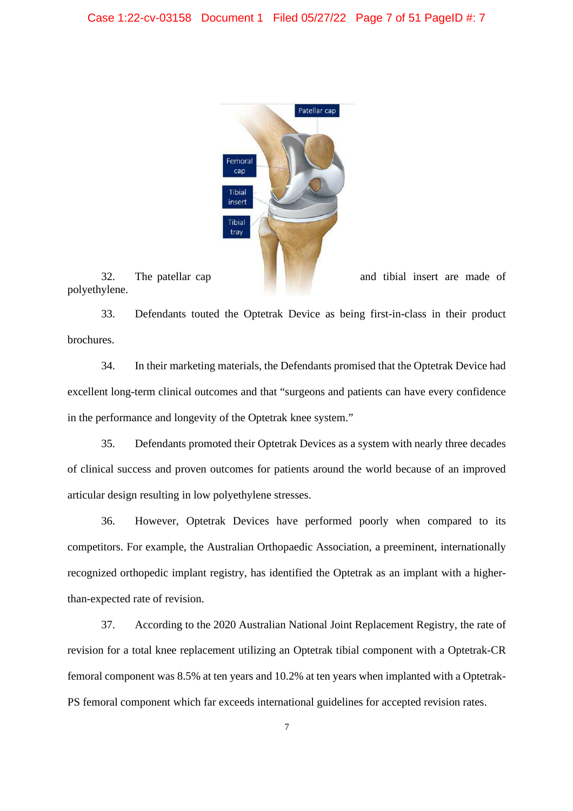

polyethylene.

33. Defendants touted the Optetrak Device as being first-in-class in their product brochures.

34. In their marketing materials, the Defendants promised that the Optetrak Device had excellent long-term clinical outcomes and that "surgeons and patients can have every confidence in the performance and longevity of the Optetrak knee system."

35. Defendants promoted their Optetrak Devices as a system with nearly three decades of clinical success and proven outcomes for patients around the world because of an improved articular design resulting in low polyethylene stresses.

36. However, Optetrak Devices have performed poorly when compared to its competitors. For example, the Australian Orthopaedic Association, a preeminent, internationally recognized orthopedic implant registry, has identified the Optetrak as an implant with a higherthan-expected rate of revision.

37. According to the 2020 Australian National Joint Replacement Registry, the rate of revision for a total knee replacement utilizing an Optetrak tibial component with a Optetrak-CR femoral component was 8.5% at ten years and 10.2% at ten years when implanted with a Optetrak-PS femoral component which far exceeds international guidelines for accepted revision rates.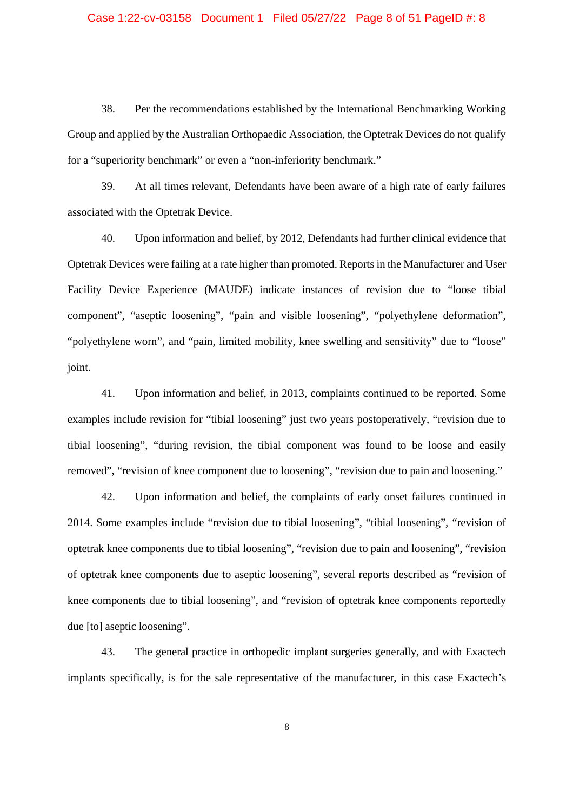#### Case 1:22-cv-03158 Document 1 Filed 05/27/22 Page 8 of 51 PageID #: 8

38. Per the recommendations established by the International Benchmarking Working Group and applied by the Australian Orthopaedic Association, the Optetrak Devices do not qualify for a "superiority benchmark" or even a "non-inferiority benchmark."

39. At all times relevant, Defendants have been aware of a high rate of early failures associated with the Optetrak Device.

40. Upon information and belief, by 2012, Defendants had further clinical evidence that Optetrak Devices were failing at a rate higher than promoted. Reports in the Manufacturer and User Facility Device Experience (MAUDE) indicate instances of revision due to "loose tibial component", "aseptic loosening", "pain and visible loosening", "polyethylene deformation", "polyethylene worn", and "pain, limited mobility, knee swelling and sensitivity" due to "loose" joint.

41. Upon information and belief, in 2013, complaints continued to be reported. Some examples include revision for "tibial loosening" just two years postoperatively, "revision due to tibial loosening", "during revision, the tibial component was found to be loose and easily removed", "revision of knee component due to loosening", "revision due to pain and loosening."

42. Upon information and belief, the complaints of early onset failures continued in 2014. Some examples include "revision due to tibial loosening", "tibial loosening", "revision of optetrak knee components due to tibial loosening", "revision due to pain and loosening", "revision of optetrak knee components due to aseptic loosening", several reports described as "revision of knee components due to tibial loosening", and "revision of optetrak knee components reportedly due [to] aseptic loosening".

43. The general practice in orthopedic implant surgeries generally, and with Exactech implants specifically, is for the sale representative of the manufacturer, in this case Exactech's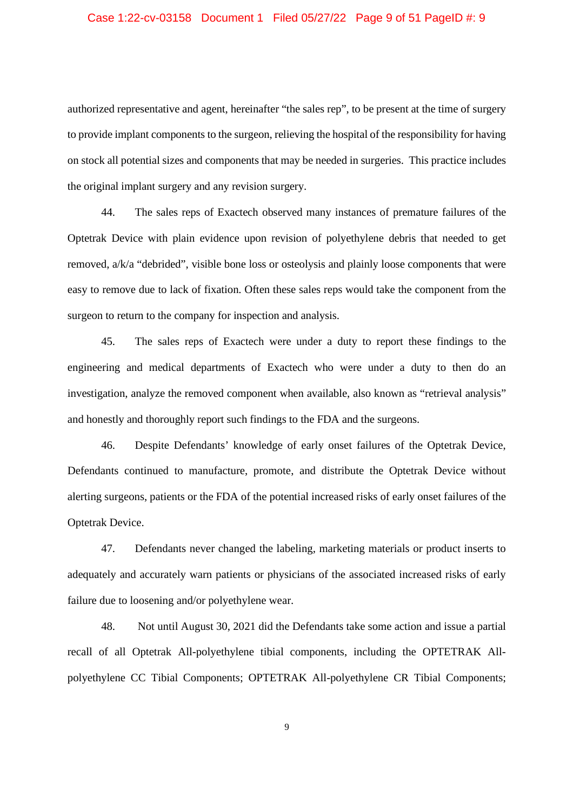### Case 1:22-cv-03158 Document 1 Filed 05/27/22 Page 9 of 51 PageID #: 9

authorized representative and agent, hereinafter "the sales rep", to be present at the time of surgery to provide implant components to the surgeon, relieving the hospital of the responsibility for having on stock all potential sizes and components that may be needed in surgeries. This practice includes the original implant surgery and any revision surgery.

44. The sales reps of Exactech observed many instances of premature failures of the Optetrak Device with plain evidence upon revision of polyethylene debris that needed to get removed, a/k/a "debrided", visible bone loss or osteolysis and plainly loose components that were easy to remove due to lack of fixation. Often these sales reps would take the component from the surgeon to return to the company for inspection and analysis.

45. The sales reps of Exactech were under a duty to report these findings to the engineering and medical departments of Exactech who were under a duty to then do an investigation, analyze the removed component when available, also known as "retrieval analysis" and honestly and thoroughly report such findings to the FDA and the surgeons.

46. Despite Defendants' knowledge of early onset failures of the Optetrak Device, Defendants continued to manufacture, promote, and distribute the Optetrak Device without alerting surgeons, patients or the FDA of the potential increased risks of early onset failures of the Optetrak Device.

47. Defendants never changed the labeling, marketing materials or product inserts to adequately and accurately warn patients or physicians of the associated increased risks of early failure due to loosening and/or polyethylene wear.

48. Not until August 30, 2021 did the Defendants take some action and issue a partial recall of all Optetrak All-polyethylene tibial components, including the OPTETRAK Allpolyethylene CC Tibial Components; OPTETRAK All-polyethylene CR Tibial Components;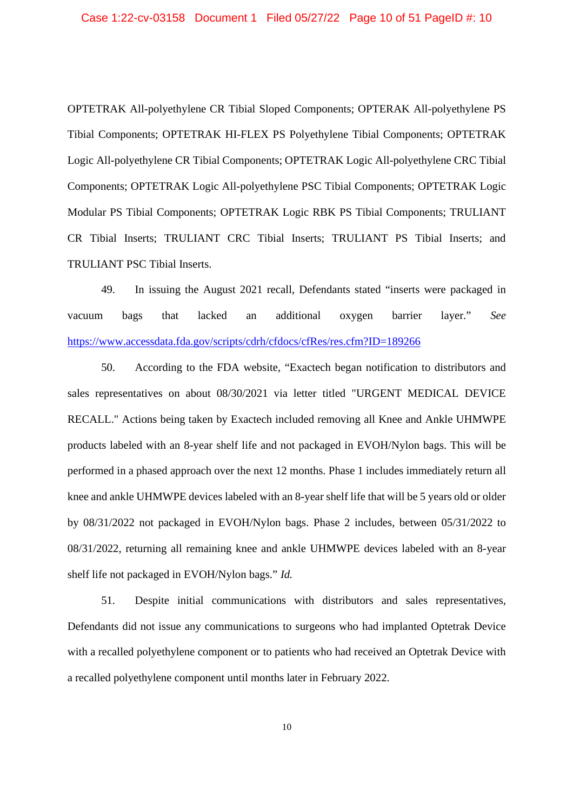OPTETRAK All-polyethylene CR Tibial Sloped Components; OPTERAK All-polyethylene PS Tibial Components; OPTETRAK HI-FLEX PS Polyethylene Tibial Components; OPTETRAK Logic All-polyethylene CR Tibial Components; OPTETRAK Logic All-polyethylene CRC Tibial Components; OPTETRAK Logic All-polyethylene PSC Tibial Components; OPTETRAK Logic Modular PS Tibial Components; OPTETRAK Logic RBK PS Tibial Components; TRULIANT CR Tibial Inserts; TRULIANT CRC Tibial Inserts; TRULIANT PS Tibial Inserts; and TRULIANT PSC Tibial Inserts.

49. In issuing the August 2021 recall, Defendants stated "inserts were packaged in vacuum bags that lacked an additional oxygen barrier layer." *See* https://www.accessdata.fda.gov/scripts/cdrh/cfdocs/cfRes/res.cfm?ID=189266

50. According to the FDA website, "Exactech began notification to distributors and sales representatives on about 08/30/2021 via letter titled "URGENT MEDICAL DEVICE RECALL." Actions being taken by Exactech included removing all Knee and Ankle UHMWPE products labeled with an 8-year shelf life and not packaged in EVOH/Nylon bags. This will be performed in a phased approach over the next 12 months. Phase 1 includes immediately return all knee and ankle UHMWPE devices labeled with an 8-year shelf life that will be 5 years old or older by 08/31/2022 not packaged in EVOH/Nylon bags. Phase 2 includes, between 05/31/2022 to 08/31/2022, returning all remaining knee and ankle UHMWPE devices labeled with an 8-year shelf life not packaged in EVOH/Nylon bags." *Id.*

51. Despite initial communications with distributors and sales representatives, Defendants did not issue any communications to surgeons who had implanted Optetrak Device with a recalled polyethylene component or to patients who had received an Optetrak Device with a recalled polyethylene component until months later in February 2022.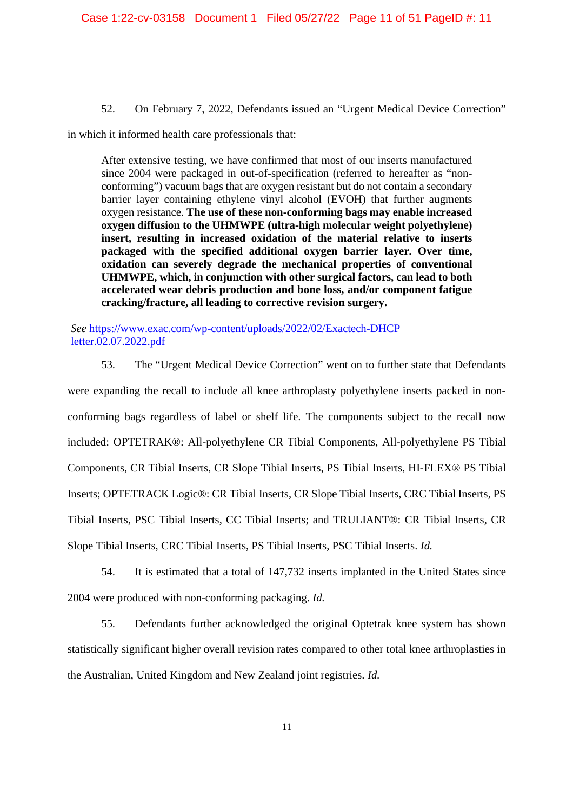52. On February 7, 2022, Defendants issued an "Urgent Medical Device Correction"

in which it informed health care professionals that:

After extensive testing, we have confirmed that most of our inserts manufactured since 2004 were packaged in out-of-specification (referred to hereafter as "nonconforming") vacuum bags that are oxygen resistant but do not contain a secondary barrier layer containing ethylene vinyl alcohol (EVOH) that further augments oxygen resistance. **The use of these non-conforming bags may enable increased oxygen diffusion to the UHMWPE (ultra-high molecular weight polyethylene) insert, resulting in increased oxidation of the material relative to inserts packaged with the specified additional oxygen barrier layer. Over time, oxidation can severely degrade the mechanical properties of conventional UHMWPE, which, in conjunction with other surgical factors, can lead to both accelerated wear debris production and bone loss, and/or component fatigue cracking/fracture, all leading to corrective revision surgery.**

*See* https://www.exac.com/wp-content/uploads/2022/02/Exactech-DHCP letter.02.07.2022.pdf

53. The "Urgent Medical Device Correction" went on to further state that Defendants were expanding the recall to include all knee arthroplasty polyethylene inserts packed in nonconforming bags regardless of label or shelf life. The components subject to the recall now included: OPTETRAK®: All-polyethylene CR Tibial Components, All-polyethylene PS Tibial Components, CR Tibial Inserts, CR Slope Tibial Inserts, PS Tibial Inserts, HI-FLEX® PS Tibial Inserts; OPTETRACK Logic®: CR Tibial Inserts, CR Slope Tibial Inserts, CRC Tibial Inserts, PS Tibial Inserts, PSC Tibial Inserts, CC Tibial Inserts; and TRULIANT®: CR Tibial Inserts, CR Slope Tibial Inserts, CRC Tibial Inserts, PS Tibial Inserts, PSC Tibial Inserts. *Id.*

54. It is estimated that a total of 147,732 inserts implanted in the United States since 2004 were produced with non-conforming packaging. *Id.*

55. Defendants further acknowledged the original Optetrak knee system has shown statistically significant higher overall revision rates compared to other total knee arthroplasties in the Australian, United Kingdom and New Zealand joint registries. *Id.*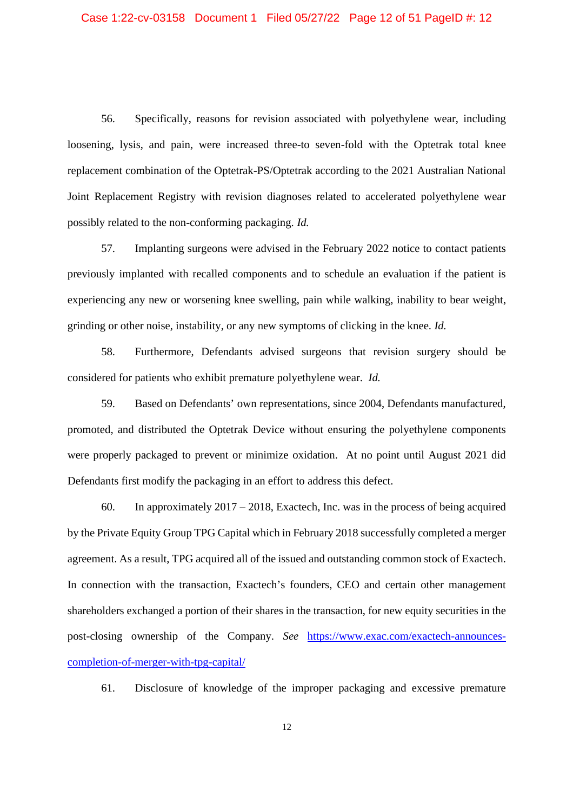56. Specifically, reasons for revision associated with polyethylene wear, including loosening, lysis, and pain, were increased three-to seven-fold with the Optetrak total knee replacement combination of the Optetrak-PS/Optetrak according to the 2021 Australian National Joint Replacement Registry with revision diagnoses related to accelerated polyethylene wear possibly related to the non-conforming packaging. *Id.*

57. Implanting surgeons were advised in the February 2022 notice to contact patients previously implanted with recalled components and to schedule an evaluation if the patient is experiencing any new or worsening knee swelling, pain while walking, inability to bear weight, grinding or other noise, instability, or any new symptoms of clicking in the knee. *Id.*

58. Furthermore, Defendants advised surgeons that revision surgery should be considered for patients who exhibit premature polyethylene wear. *Id.*

59. Based on Defendants' own representations, since 2004, Defendants manufactured, promoted, and distributed the Optetrak Device without ensuring the polyethylene components were properly packaged to prevent or minimize oxidation. At no point until August 2021 did Defendants first modify the packaging in an effort to address this defect.

60. In approximately 2017 – 2018, Exactech, Inc. was in the process of being acquired by the Private Equity Group TPG Capital which in February 2018 successfully completed a merger agreement. As a result, TPG acquired all of the issued and outstanding common stock of Exactech. In connection with the transaction, Exactech's founders, CEO and certain other management shareholders exchanged a portion of their shares in the transaction, for new equity securities in the post-closing ownership of the Company. *See* https://www.exac.com/exactech-announcescompletion-of-merger-with-tpg-capital/

61. Disclosure of knowledge of the improper packaging and excessive premature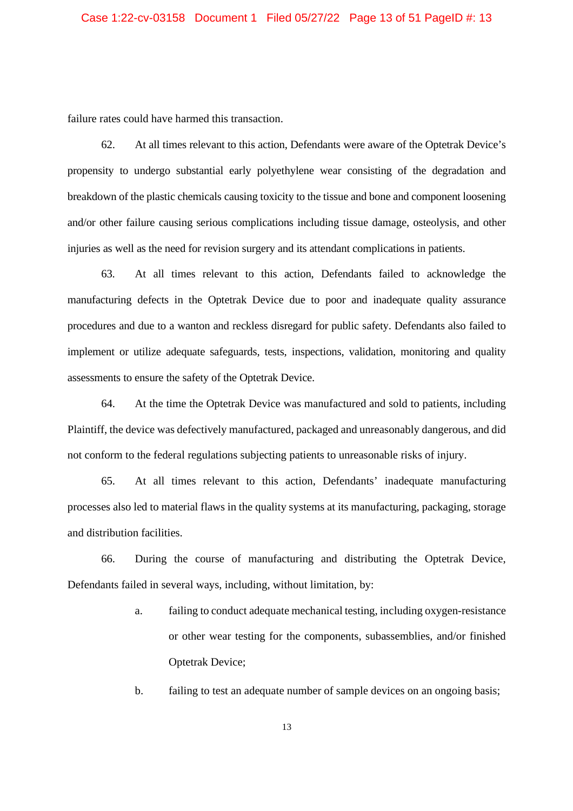failure rates could have harmed this transaction.

62. At all times relevant to this action, Defendants were aware of the Optetrak Device's propensity to undergo substantial early polyethylene wear consisting of the degradation and breakdown of the plastic chemicals causing toxicity to the tissue and bone and component loosening and/or other failure causing serious complications including tissue damage, osteolysis, and other injuries as well as the need for revision surgery and its attendant complications in patients.

63. At all times relevant to this action, Defendants failed to acknowledge the manufacturing defects in the Optetrak Device due to poor and inadequate quality assurance procedures and due to a wanton and reckless disregard for public safety. Defendants also failed to implement or utilize adequate safeguards, tests, inspections, validation, monitoring and quality assessments to ensure the safety of the Optetrak Device.

64. At the time the Optetrak Device was manufactured and sold to patients, including Plaintiff, the device was defectively manufactured, packaged and unreasonably dangerous, and did not conform to the federal regulations subjecting patients to unreasonable risks of injury.

65. At all times relevant to this action, Defendants' inadequate manufacturing processes also led to material flaws in the quality systems at its manufacturing, packaging, storage and distribution facilities.

66. During the course of manufacturing and distributing the Optetrak Device, Defendants failed in several ways, including, without limitation, by:

- a. failing to conduct adequate mechanical testing, including oxygen-resistance or other wear testing for the components, subassemblies, and/or finished Optetrak Device;
- b. failing to test an adequate number of sample devices on an ongoing basis;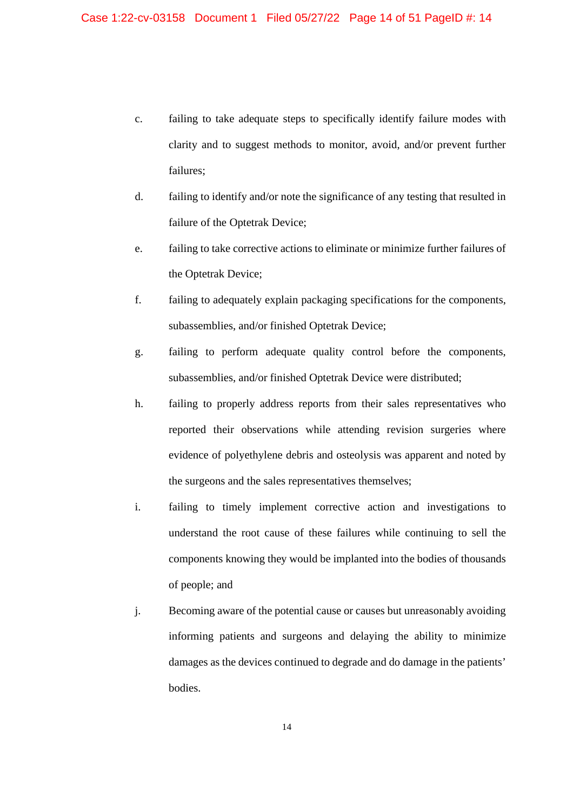- c. failing to take adequate steps to specifically identify failure modes with clarity and to suggest methods to monitor, avoid, and/or prevent further failures;
- d. failing to identify and/or note the significance of any testing that resulted in failure of the Optetrak Device;
- e. failing to take corrective actions to eliminate or minimize further failures of the Optetrak Device;
- f. failing to adequately explain packaging specifications for the components, subassemblies, and/or finished Optetrak Device;
- g. failing to perform adequate quality control before the components, subassemblies, and/or finished Optetrak Device were distributed;
- h. failing to properly address reports from their sales representatives who reported their observations while attending revision surgeries where evidence of polyethylene debris and osteolysis was apparent and noted by the surgeons and the sales representatives themselves;
- i. failing to timely implement corrective action and investigations to understand the root cause of these failures while continuing to sell the components knowing they would be implanted into the bodies of thousands of people; and
- j. Becoming aware of the potential cause or causes but unreasonably avoiding informing patients and surgeons and delaying the ability to minimize damages as the devices continued to degrade and do damage in the patients' bodies.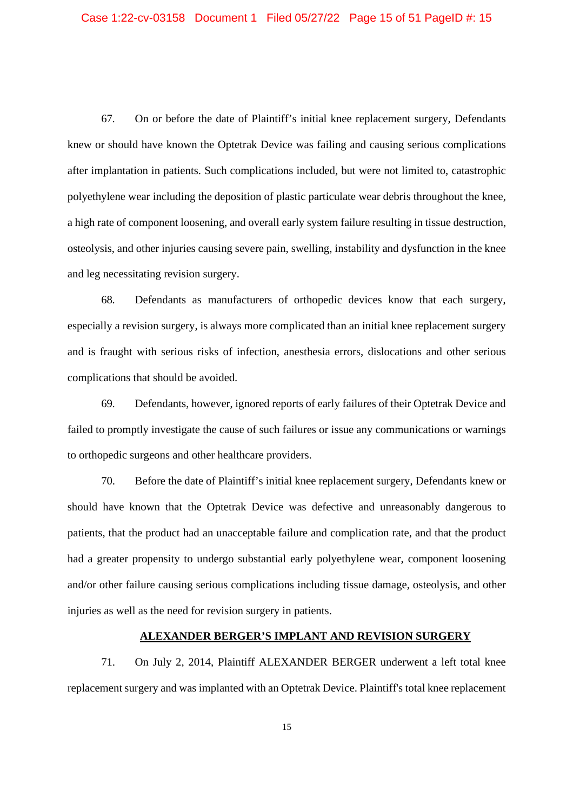67. On or before the date of Plaintiff's initial knee replacement surgery, Defendants knew or should have known the Optetrak Device was failing and causing serious complications after implantation in patients. Such complications included, but were not limited to, catastrophic polyethylene wear including the deposition of plastic particulate wear debris throughout the knee, a high rate of component loosening, and overall early system failure resulting in tissue destruction, osteolysis, and other injuries causing severe pain, swelling, instability and dysfunction in the knee and leg necessitating revision surgery.

68. Defendants as manufacturers of orthopedic devices know that each surgery, especially a revision surgery, is always more complicated than an initial knee replacement surgery and is fraught with serious risks of infection, anesthesia errors, dislocations and other serious complications that should be avoided.

69. Defendants, however, ignored reports of early failures of their Optetrak Device and failed to promptly investigate the cause of such failures or issue any communications or warnings to orthopedic surgeons and other healthcare providers.

70. Before the date of Plaintiff's initial knee replacement surgery, Defendants knew or should have known that the Optetrak Device was defective and unreasonably dangerous to patients, that the product had an unacceptable failure and complication rate, and that the product had a greater propensity to undergo substantial early polyethylene wear, component loosening and/or other failure causing serious complications including tissue damage, osteolysis, and other injuries as well as the need for revision surgery in patients.

#### **ALEXANDER BERGER'S IMPLANT AND REVISION SURGERY**

71. On July 2, 2014, Plaintiff ALEXANDER BERGER underwent a left total knee replacement surgery and was implanted with an Optetrak Device. Plaintiff's total knee replacement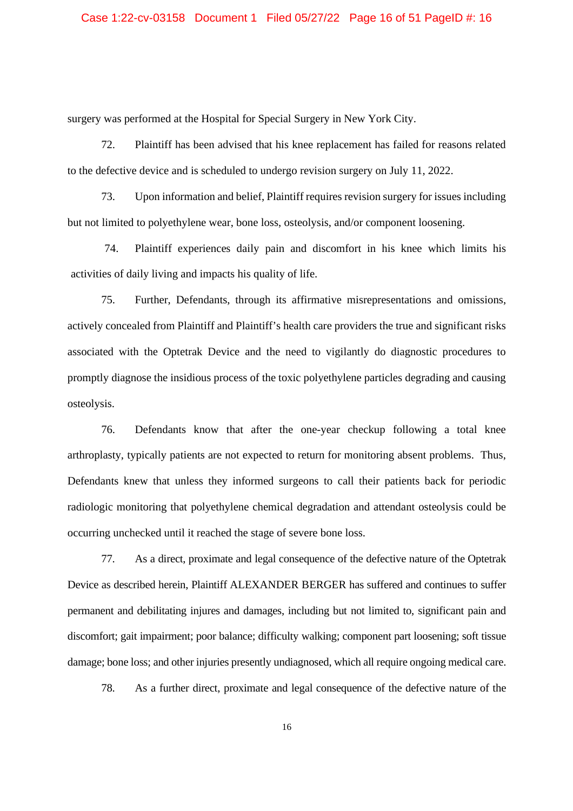surgery was performed at the Hospital for Special Surgery in New York City.

72. Plaintiff has been advised that his knee replacement has failed for reasons related to the defective device and is scheduled to undergo revision surgery on July 11, 2022.

73. Upon information and belief, Plaintiff requires revision surgery for issues including but not limited to polyethylene wear, bone loss, osteolysis, and/or component loosening.

74. Plaintiff experiences daily pain and discomfort in his knee which limits his activities of daily living and impacts his quality of life.

75. Further, Defendants, through its affirmative misrepresentations and omissions, actively concealed from Plaintiff and Plaintiff's health care providers the true and significant risks associated with the Optetrak Device and the need to vigilantly do diagnostic procedures to promptly diagnose the insidious process of the toxic polyethylene particles degrading and causing osteolysis.

76. Defendants know that after the one-year checkup following a total knee arthroplasty, typically patients are not expected to return for monitoring absent problems. Thus, Defendants knew that unless they informed surgeons to call their patients back for periodic radiologic monitoring that polyethylene chemical degradation and attendant osteolysis could be occurring unchecked until it reached the stage of severe bone loss.

77. As a direct, proximate and legal consequence of the defective nature of the Optetrak Device as described herein, Plaintiff ALEXANDER BERGER has suffered and continues to suffer permanent and debilitating injures and damages, including but not limited to, significant pain and discomfort; gait impairment; poor balance; difficulty walking; component part loosening; soft tissue damage; bone loss; and other injuries presently undiagnosed, which all require ongoing medical care.

78. As a further direct, proximate and legal consequence of the defective nature of the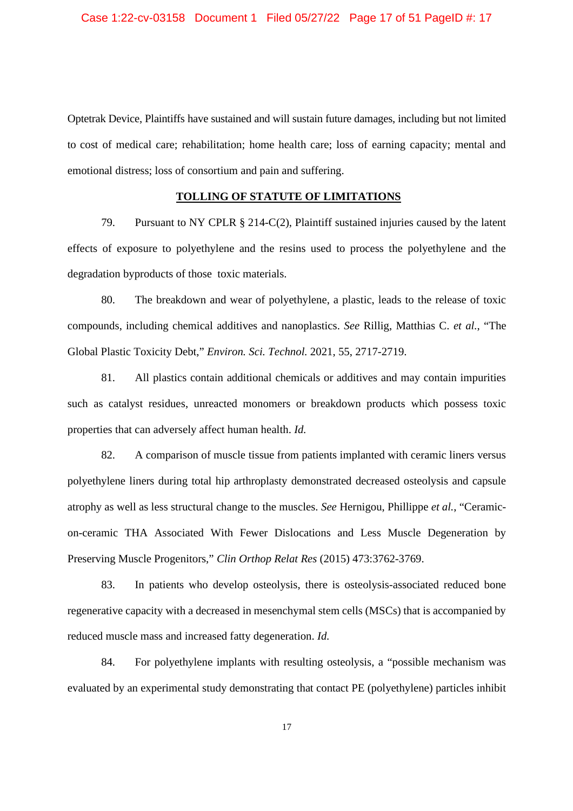Optetrak Device, Plaintiffs have sustained and will sustain future damages, including but not limited to cost of medical care; rehabilitation; home health care; loss of earning capacity; mental and emotional distress; loss of consortium and pain and suffering.

#### **TOLLING OF STATUTE OF LIMITATIONS**

79. Pursuant to NY CPLR § 214-C(2), Plaintiff sustained injuries caused by the latent effects of exposure to polyethylene and the resins used to process the polyethylene and the degradation byproducts of those toxic materials.

80. The breakdown and wear of polyethylene, a plastic, leads to the release of toxic compounds, including chemical additives and nanoplastics. *See* Rillig, Matthias C. *et al.*, "The Global Plastic Toxicity Debt," *Environ. Sci. Technol.* 2021, 55, 2717-2719.

81. All plastics contain additional chemicals or additives and may contain impurities such as catalyst residues, unreacted monomers or breakdown products which possess toxic properties that can adversely affect human health. *Id.*

82. A comparison of muscle tissue from patients implanted with ceramic liners versus polyethylene liners during total hip arthroplasty demonstrated decreased osteolysis and capsule atrophy as well as less structural change to the muscles. *See* Hernigou, Phillippe *et al.*, "Ceramicon-ceramic THA Associated With Fewer Dislocations and Less Muscle Degeneration by Preserving Muscle Progenitors," *Clin Orthop Relat Res* (2015) 473:3762-3769.

83. In patients who develop osteolysis, there is osteolysis-associated reduced bone regenerative capacity with a decreased in mesenchymal stem cells (MSCs) that is accompanied by reduced muscle mass and increased fatty degeneration. *Id.*

84. For polyethylene implants with resulting osteolysis, a "possible mechanism was evaluated by an experimental study demonstrating that contact PE (polyethylene) particles inhibit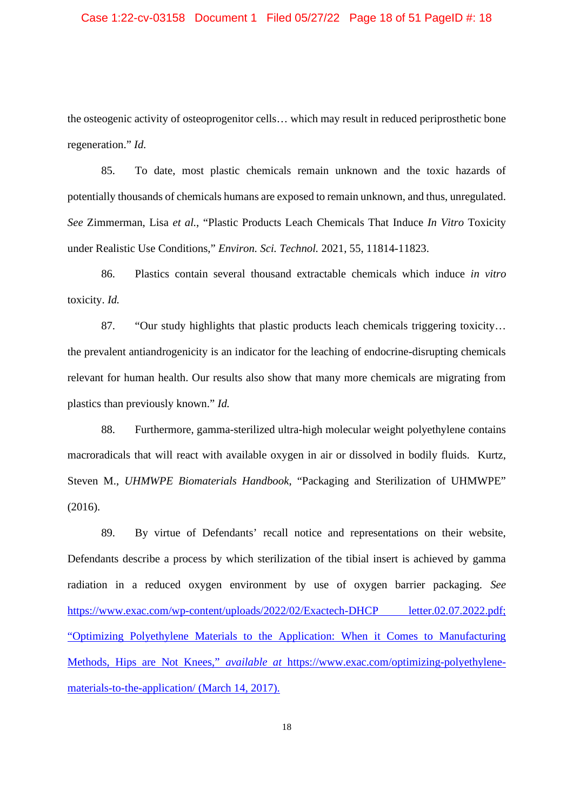## Case 1:22-cv-03158 Document 1 Filed 05/27/22 Page 18 of 51 PageID #: 18

the osteogenic activity of osteoprogenitor cells… which may result in reduced periprosthetic bone regeneration." *Id.*

85. To date, most plastic chemicals remain unknown and the toxic hazards of potentially thousands of chemicals humans are exposed to remain unknown, and thus, unregulated. *See* Zimmerman, Lisa *et al.*, "Plastic Products Leach Chemicals That Induce *In Vitro* Toxicity under Realistic Use Conditions," *Environ. Sci. Technol.* 2021, 55, 11814-11823.

86. Plastics contain several thousand extractable chemicals which induce *in vitro* toxicity. *Id.*

87. "Our study highlights that plastic products leach chemicals triggering toxicity... the prevalent antiandrogenicity is an indicator for the leaching of endocrine-disrupting chemicals relevant for human health. Our results also show that many more chemicals are migrating from plastics than previously known." *Id.*

88. Furthermore, gamma-sterilized ultra-high molecular weight polyethylene contains macroradicals that will react with available oxygen in air or dissolved in bodily fluids. Kurtz, Steven M., *UHMWPE Biomaterials Handbook*, "Packaging and Sterilization of UHMWPE" (2016).

89. By virtue of Defendants' recall notice and representations on their website, Defendants describe a process by which sterilization of the tibial insert is achieved by gamma radiation in a reduced oxygen environment by use of oxygen barrier packaging. *See* https://www.exac.com/wp-content/uploads/2022/02/Exactech-DHCP letter.02.07.2022.pdf; "Optimizing Polyethylene Materials to the Application: When it Comes to Manufacturing Methods, Hips are Not Knees," *available at* https://www.exac.com/optimizing-polyethylenematerials-to-the-application/ (March 14, 2017).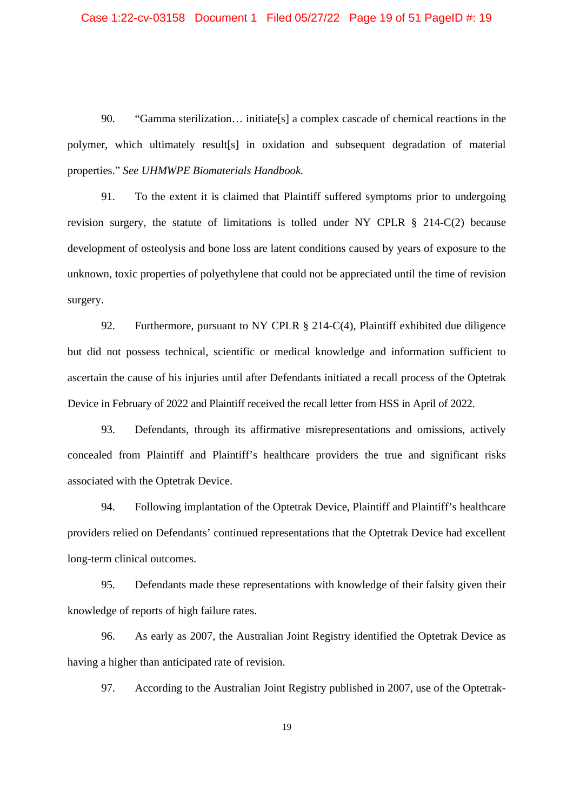90. "Gamma sterilization… initiate[s] a complex cascade of chemical reactions in the polymer, which ultimately result[s] in oxidation and subsequent degradation of material properties." *See UHMWPE Biomaterials Handbook.*

91. To the extent it is claimed that Plaintiff suffered symptoms prior to undergoing revision surgery, the statute of limitations is tolled under NY CPLR § 214-C(2) because development of osteolysis and bone loss are latent conditions caused by years of exposure to the unknown, toxic properties of polyethylene that could not be appreciated until the time of revision surgery.

92. Furthermore, pursuant to NY CPLR § 214-C(4), Plaintiff exhibited due diligence but did not possess technical, scientific or medical knowledge and information sufficient to ascertain the cause of his injuries until after Defendants initiated a recall process of the Optetrak Device in February of 2022 and Plaintiff received the recall letter from HSS in April of 2022.

93. Defendants, through its affirmative misrepresentations and omissions, actively concealed from Plaintiff and Plaintiff's healthcare providers the true and significant risks associated with the Optetrak Device.

94. Following implantation of the Optetrak Device, Plaintiff and Plaintiff's healthcare providers relied on Defendants' continued representations that the Optetrak Device had excellent long-term clinical outcomes.

95. Defendants made these representations with knowledge of their falsity given their knowledge of reports of high failure rates.

96. As early as 2007, the Australian Joint Registry identified the Optetrak Device as having a higher than anticipated rate of revision.

97. According to the Australian Joint Registry published in 2007, use of the Optetrak-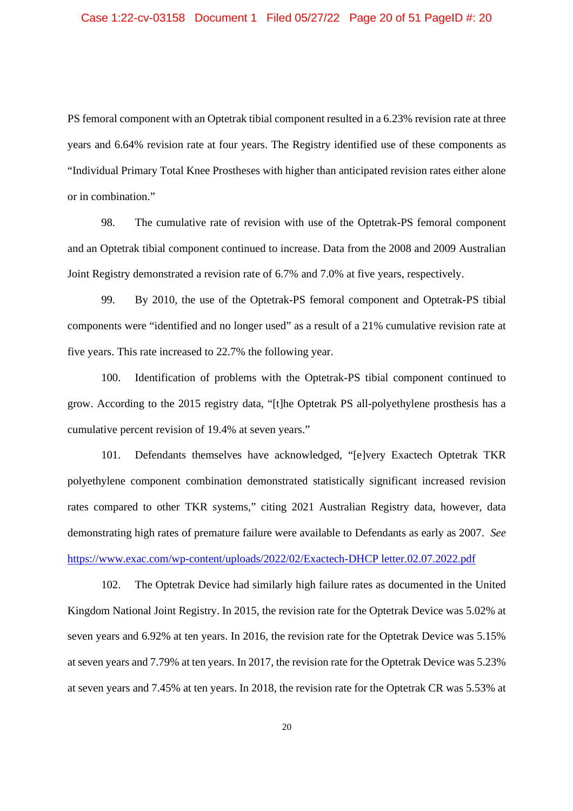PS femoral component with an Optetrak tibial component resulted in a 6.23% revision rate at three years and 6.64% revision rate at four years. The Registry identified use of these components as "Individual Primary Total Knee Prostheses with higher than anticipated revision rates either alone or in combination."

98. The cumulative rate of revision with use of the Optetrak-PS femoral component and an Optetrak tibial component continued to increase. Data from the 2008 and 2009 Australian Joint Registry demonstrated a revision rate of 6.7% and 7.0% at five years, respectively.

99. By 2010, the use of the Optetrak-PS femoral component and Optetrak-PS tibial components were "identified and no longer used" as a result of a 21% cumulative revision rate at five years. This rate increased to 22.7% the following year.

100. Identification of problems with the Optetrak-PS tibial component continued to grow. According to the 2015 registry data, "[t]he Optetrak PS all-polyethylene prosthesis has a cumulative percent revision of 19.4% at seven years."

101. Defendants themselves have acknowledged, "[e]very Exactech Optetrak TKR polyethylene component combination demonstrated statistically significant increased revision rates compared to other TKR systems," citing 2021 Australian Registry data, however, data demonstrating high rates of premature failure were available to Defendants as early as 2007. *See* https://www.exac.com/wp-content/uploads/2022/02/Exactech-DHCP letter.02.07.2022.pdf

102. The Optetrak Device had similarly high failure rates as documented in the United Kingdom National Joint Registry. In 2015, the revision rate for the Optetrak Device was 5.02% at seven years and 6.92% at ten years. In 2016, the revision rate for the Optetrak Device was 5.15% at seven years and 7.79% at ten years. In 2017, the revision rate for the Optetrak Device was 5.23% at seven years and 7.45% at ten years. In 2018, the revision rate for the Optetrak CR was 5.53% at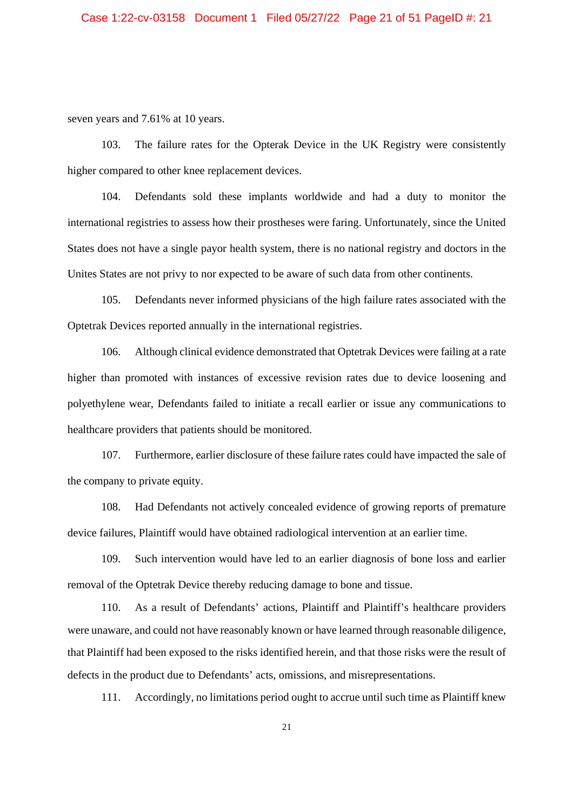seven years and 7.61% at 10 years.

103. The failure rates for the Opterak Device in the UK Registry were consistently higher compared to other knee replacement devices.

104. Defendants sold these implants worldwide and had a duty to monitor the international registries to assess how their prostheses were faring. Unfortunately, since the United States does not have a single payor health system, there is no national registry and doctors in the Unites States are not privy to nor expected to be aware of such data from other continents.

105. Defendants never informed physicians of the high failure rates associated with the Optetrak Devices reported annually in the international registries.

106. Although clinical evidence demonstrated that Optetrak Devices were failing at a rate higher than promoted with instances of excessive revision rates due to device loosening and polyethylene wear, Defendants failed to initiate a recall earlier or issue any communications to healthcare providers that patients should be monitored.

107. Furthermore, earlier disclosure of these failure rates could have impacted the sale of the company to private equity.

108. Had Defendants not actively concealed evidence of growing reports of premature device failures, Plaintiff would have obtained radiological intervention at an earlier time.

109. Such intervention would have led to an earlier diagnosis of bone loss and earlier removal of the Optetrak Device thereby reducing damage to bone and tissue.

110. As a result of Defendants' actions, Plaintiff and Plaintiff's healthcare providers were unaware, and could not have reasonably known or have learned through reasonable diligence, that Plaintiff had been exposed to the risks identified herein, and that those risks were the result of defects in the product due to Defendants' acts, omissions, and misrepresentations.

111. Accordingly, no limitations period ought to accrue until such time as Plaintiff knew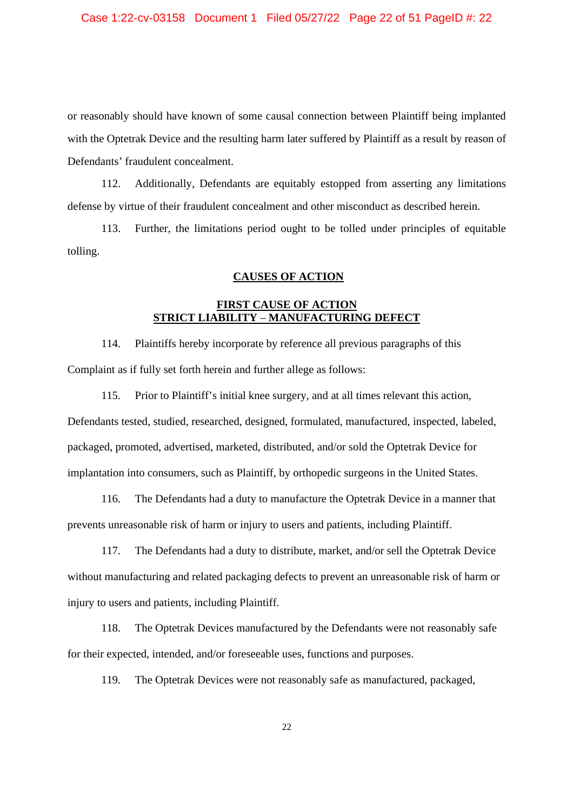or reasonably should have known of some causal connection between Plaintiff being implanted with the Optetrak Device and the resulting harm later suffered by Plaintiff as a result by reason of Defendants' fraudulent concealment.

112. Additionally, Defendants are equitably estopped from asserting any limitations defense by virtue of their fraudulent concealment and other misconduct as described herein.

113. Further, the limitations period ought to be tolled under principles of equitable tolling.

#### **CAUSES OF ACTION**

# **FIRST CAUSE OF ACTION STRICT LIABILITY** – **MANUFACTURING DEFECT**

114. Plaintiffs hereby incorporate by reference all previous paragraphs of this Complaint as if fully set forth herein and further allege as follows:

115. Prior to Plaintiff's initial knee surgery, and at all times relevant this action, Defendants tested, studied, researched, designed, formulated, manufactured, inspected, labeled, packaged, promoted, advertised, marketed, distributed, and/or sold the Optetrak Device for implantation into consumers, such as Plaintiff, by orthopedic surgeons in the United States.

116. The Defendants had a duty to manufacture the Optetrak Device in a manner that prevents unreasonable risk of harm or injury to users and patients, including Plaintiff.

117. The Defendants had a duty to distribute, market, and/or sell the Optetrak Device without manufacturing and related packaging defects to prevent an unreasonable risk of harm or injury to users and patients, including Plaintiff.

118. The Optetrak Devices manufactured by the Defendants were not reasonably safe for their expected, intended, and/or foreseeable uses, functions and purposes.

119. The Optetrak Devices were not reasonably safe as manufactured, packaged,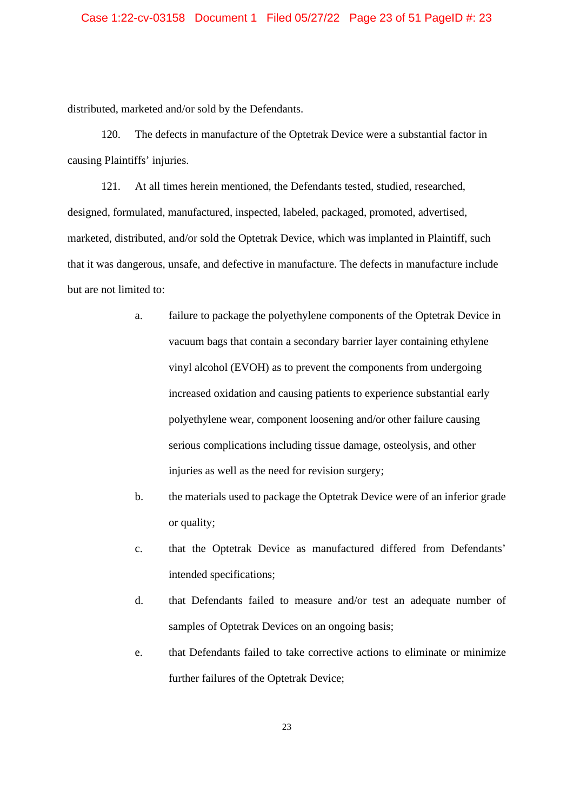distributed, marketed and/or sold by the Defendants.

120. The defects in manufacture of the Optetrak Device were a substantial factor in causing Plaintiffs' injuries.

121. At all times herein mentioned, the Defendants tested, studied, researched, designed, formulated, manufactured, inspected, labeled, packaged, promoted, advertised, marketed, distributed, and/or sold the Optetrak Device, which was implanted in Plaintiff, such that it was dangerous, unsafe, and defective in manufacture. The defects in manufacture include but are not limited to:

- a. failure to package the polyethylene components of the Optetrak Device in vacuum bags that contain a secondary barrier layer containing ethylene vinyl alcohol (EVOH) as to prevent the components from undergoing increased oxidation and causing patients to experience substantial early polyethylene wear, component loosening and/or other failure causing serious complications including tissue damage, osteolysis, and other injuries as well as the need for revision surgery;
- b. the materials used to package the Optetrak Device were of an inferior grade or quality;
- c. that the Optetrak Device as manufactured differed from Defendants' intended specifications;
- d. that Defendants failed to measure and/or test an adequate number of samples of Optetrak Devices on an ongoing basis;
- e. that Defendants failed to take corrective actions to eliminate or minimize further failures of the Optetrak Device;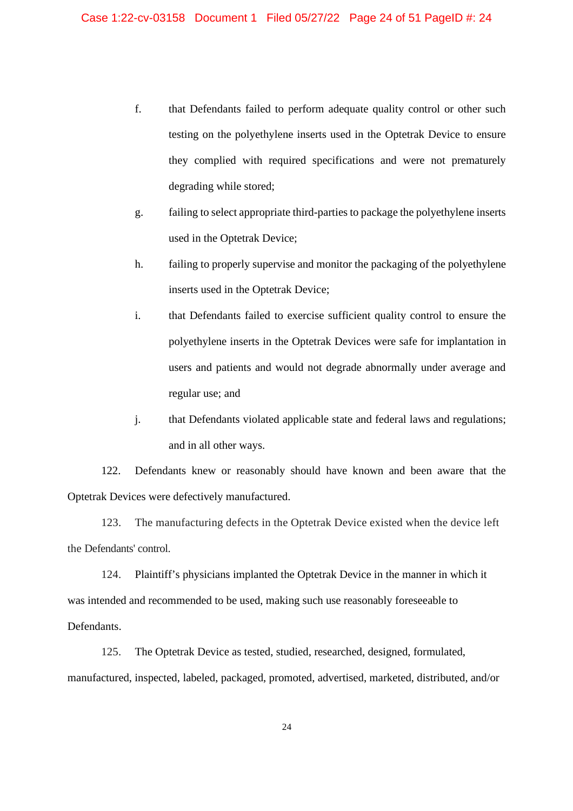- f. that Defendants failed to perform adequate quality control or other such testing on the polyethylene inserts used in the Optetrak Device to ensure they complied with required specifications and were not prematurely degrading while stored;
- g. failing to select appropriate third-parties to package the polyethylene inserts used in the Optetrak Device;
- h. failing to properly supervise and monitor the packaging of the polyethylene inserts used in the Optetrak Device;
- i. that Defendants failed to exercise sufficient quality control to ensure the polyethylene inserts in the Optetrak Devices were safe for implantation in users and patients and would not degrade abnormally under average and regular use; and
- j. that Defendants violated applicable state and federal laws and regulations; and in all other ways.

122. Defendants knew or reasonably should have known and been aware that the Optetrak Devices were defectively manufactured.

123. The manufacturing defects in the Optetrak Device existed when the device left the Defendants' control.

124. Plaintiff's physicians implanted the Optetrak Device in the manner in which it was intended and recommended to be used, making such use reasonably foreseeable to Defendants.

125. The Optetrak Device as tested, studied, researched, designed, formulated, manufactured, inspected, labeled, packaged, promoted, advertised, marketed, distributed, and/or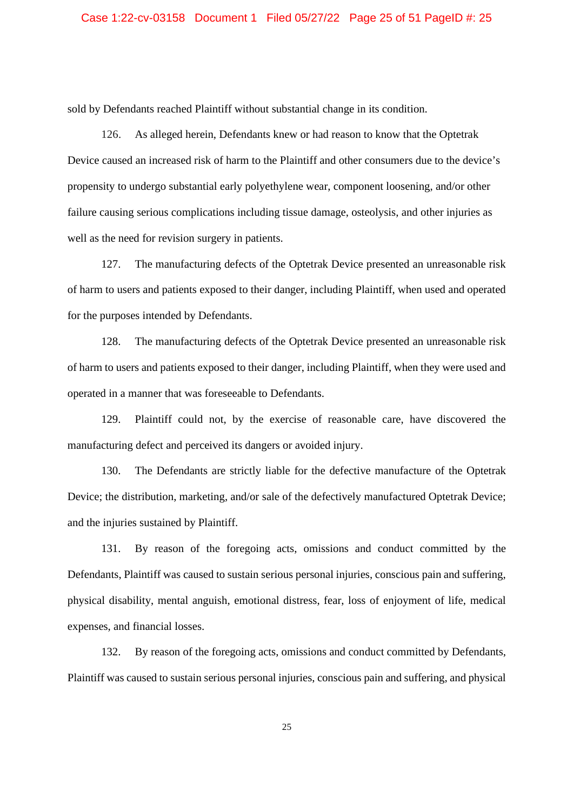sold by Defendants reached Plaintiff without substantial change in its condition.

126. As alleged herein, Defendants knew or had reason to know that the Optetrak Device caused an increased risk of harm to the Plaintiff and other consumers due to the device's propensity to undergo substantial early polyethylene wear, component loosening, and/or other failure causing serious complications including tissue damage, osteolysis, and other injuries as well as the need for revision surgery in patients.

127. The manufacturing defects of the Optetrak Device presented an unreasonable risk of harm to users and patients exposed to their danger, including Plaintiff, when used and operated for the purposes intended by Defendants.

128. The manufacturing defects of the Optetrak Device presented an unreasonable risk of harm to users and patients exposed to their danger, including Plaintiff, when they were used and operated in a manner that was foreseeable to Defendants.

129. Plaintiff could not, by the exercise of reasonable care, have discovered the manufacturing defect and perceived its dangers or avoided injury.

130. The Defendants are strictly liable for the defective manufacture of the Optetrak Device; the distribution, marketing, and/or sale of the defectively manufactured Optetrak Device; and the injuries sustained by Plaintiff.

131. By reason of the foregoing acts, omissions and conduct committed by the Defendants, Plaintiff was caused to sustain serious personal injuries, conscious pain and suffering, physical disability, mental anguish, emotional distress, fear, loss of enjoyment of life, medical expenses, and financial losses.

132. By reason of the foregoing acts, omissions and conduct committed by Defendants, Plaintiff was caused to sustain serious personal injuries, conscious pain and suffering, and physical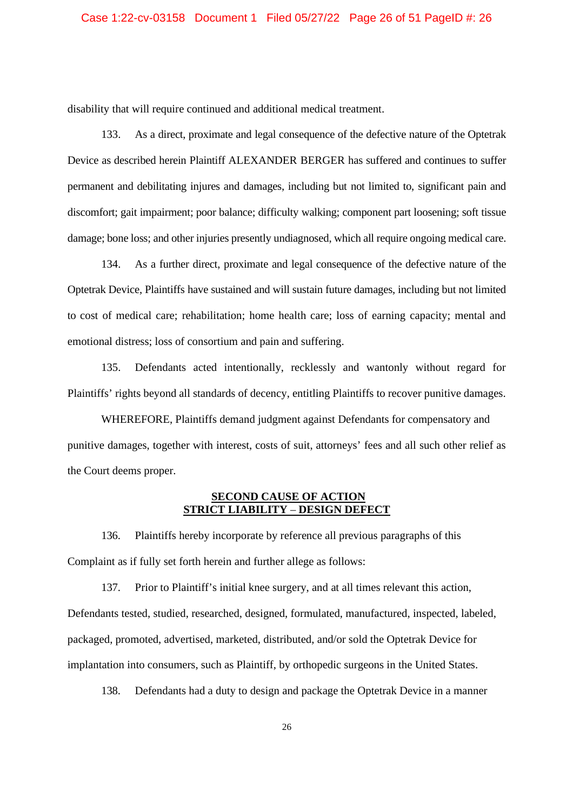disability that will require continued and additional medical treatment.

133. As a direct, proximate and legal consequence of the defective nature of the Optetrak Device as described herein Plaintiff ALEXANDER BERGER has suffered and continues to suffer permanent and debilitating injures and damages, including but not limited to, significant pain and discomfort; gait impairment; poor balance; difficulty walking; component part loosening; soft tissue damage; bone loss; and other injuries presently undiagnosed, which all require ongoing medical care.

134. As a further direct, proximate and legal consequence of the defective nature of the Optetrak Device, Plaintiffs have sustained and will sustain future damages, including but not limited to cost of medical care; rehabilitation; home health care; loss of earning capacity; mental and emotional distress; loss of consortium and pain and suffering.

135. Defendants acted intentionally, recklessly and wantonly without regard for Plaintiffs' rights beyond all standards of decency, entitling Plaintiffs to recover punitive damages.

WHEREFORE, Plaintiffs demand judgment against Defendants for compensatory and punitive damages, together with interest, costs of suit, attorneys' fees and all such other relief as the Court deems proper.

## **SECOND CAUSE OF ACTION STRICT LIABILITY** – **DESIGN DEFECT**

136. Plaintiffs hereby incorporate by reference all previous paragraphs of this Complaint as if fully set forth herein and further allege as follows:

137. Prior to Plaintiff's initial knee surgery, and at all times relevant this action, Defendants tested, studied, researched, designed, formulated, manufactured, inspected, labeled, packaged, promoted, advertised, marketed, distributed, and/or sold the Optetrak Device for implantation into consumers, such as Plaintiff, by orthopedic surgeons in the United States.

138. Defendants had a duty to design and package the Optetrak Device in a manner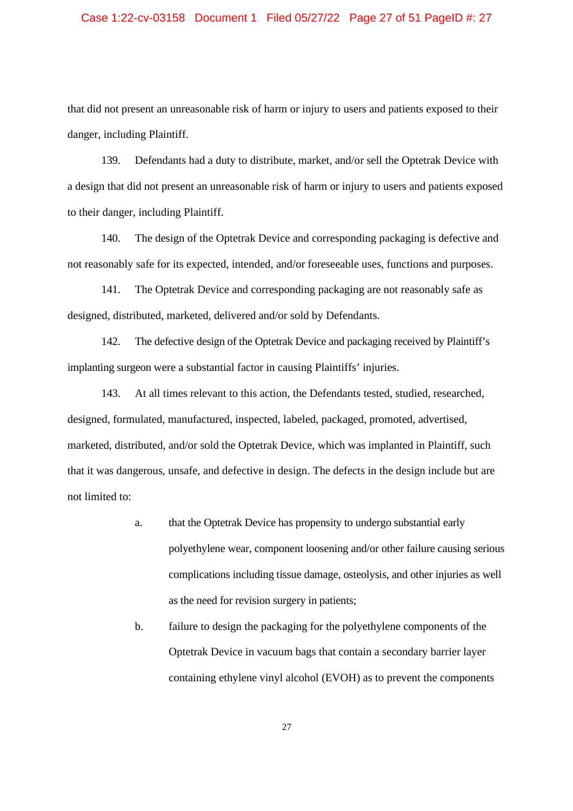## Case 1:22-cv-03158 Document 1 Filed 05/27/22 Page 27 of 51 PageID #: 27

that did not present an unreasonable risk of harm or injury to users and patients exposed to their danger, including Plaintiff.

139. Defendants had a duty to distribute, market, and/or sell the Optetrak Device with a design that did not present an unreasonable risk of harm or injury to users and patients exposed to their danger, including Plaintiff.

140. The design of the Optetrak Device and corresponding packaging is defective and not reasonably safe for its expected, intended, and/or foreseeable uses, functions and purposes.

141. The Optetrak Device and corresponding packaging are not reasonably safe as designed, distributed, marketed, delivered and/or sold by Defendants.

142. The defective design of the Optetrak Device and packaging received by Plaintiff's implanting surgeon were a substantial factor in causing Plaintiffs' injuries.

143. At all times relevant to this action, the Defendants tested, studied, researched, designed, formulated, manufactured, inspected, labeled, packaged, promoted, advertised, marketed, distributed, and/or sold the Optetrak Device, which was implanted in Plaintiff, such that it was dangerous, unsafe, and defective in design. The defects in the design include but are not limited to:

- a. that the Optetrak Device has propensity to undergo substantial early polyethylene wear, component loosening and/or other failure causing serious complications including tissue damage, osteolysis, and other injuries as well as the need for revision surgery in patients;
- b. failure to design the packaging for the polyethylene components of the Optetrak Device in vacuum bags that contain a secondary barrier layer containing ethylene vinyl alcohol (EVOH) as to prevent the components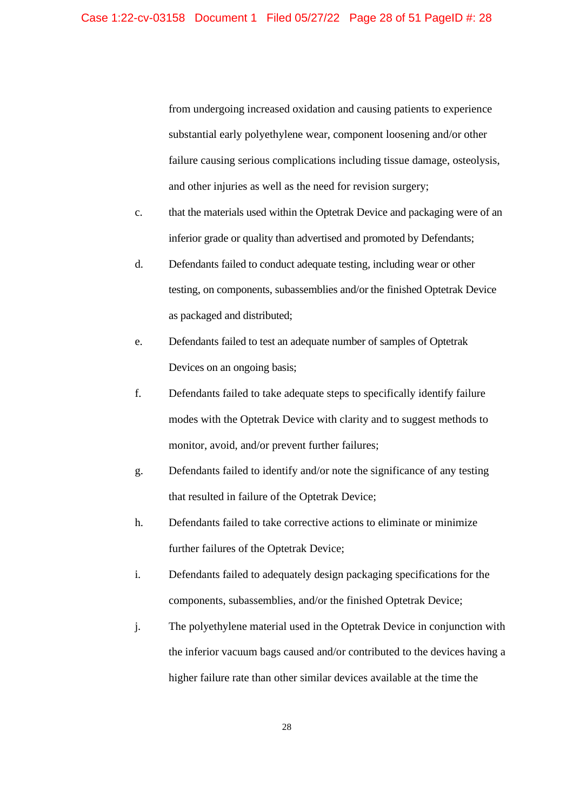from undergoing increased oxidation and causing patients to experience substantial early polyethylene wear, component loosening and/or other failure causing serious complications including tissue damage, osteolysis, and other injuries as well as the need for revision surgery;

- c. that the materials used within the Optetrak Device and packaging were of an inferior grade or quality than advertised and promoted by Defendants;
- d. Defendants failed to conduct adequate testing, including wear or other testing, on components, subassemblies and/or the finished Optetrak Device as packaged and distributed;
- e. Defendants failed to test an adequate number of samples of Optetrak Devices on an ongoing basis;
- f. Defendants failed to take adequate steps to specifically identify failure modes with the Optetrak Device with clarity and to suggest methods to monitor, avoid, and/or prevent further failures;
- g. Defendants failed to identify and/or note the significance of any testing that resulted in failure of the Optetrak Device;
- h. Defendants failed to take corrective actions to eliminate or minimize further failures of the Optetrak Device;
- i. Defendants failed to adequately design packaging specifications for the components, subassemblies, and/or the finished Optetrak Device;
- j. The polyethylene material used in the Optetrak Device in conjunction with the inferior vacuum bags caused and/or contributed to the devices having a higher failure rate than other similar devices available at the time the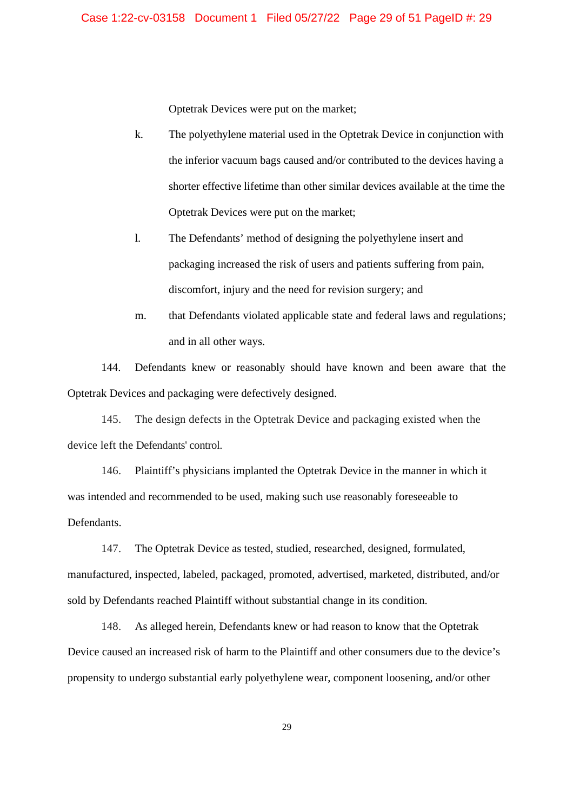Optetrak Devices were put on the market;

- k. The polyethylene material used in the Optetrak Device in conjunction with the inferior vacuum bags caused and/or contributed to the devices having a shorter effective lifetime than other similar devices available at the time the Optetrak Devices were put on the market;
- l. The Defendants' method of designing the polyethylene insert and packaging increased the risk of users and patients suffering from pain, discomfort, injury and the need for revision surgery; and
- m. that Defendants violated applicable state and federal laws and regulations; and in all other ways.

144. Defendants knew or reasonably should have known and been aware that the Optetrak Devices and packaging were defectively designed.

145. The design defects in the Optetrak Device and packaging existed when the device left the Defendants' control.

146. Plaintiff's physicians implanted the Optetrak Device in the manner in which it was intended and recommended to be used, making such use reasonably foreseeable to Defendants.

147. The Optetrak Device as tested, studied, researched, designed, formulated, manufactured, inspected, labeled, packaged, promoted, advertised, marketed, distributed, and/or sold by Defendants reached Plaintiff without substantial change in its condition.

148. As alleged herein, Defendants knew or had reason to know that the Optetrak Device caused an increased risk of harm to the Plaintiff and other consumers due to the device's propensity to undergo substantial early polyethylene wear, component loosening, and/or other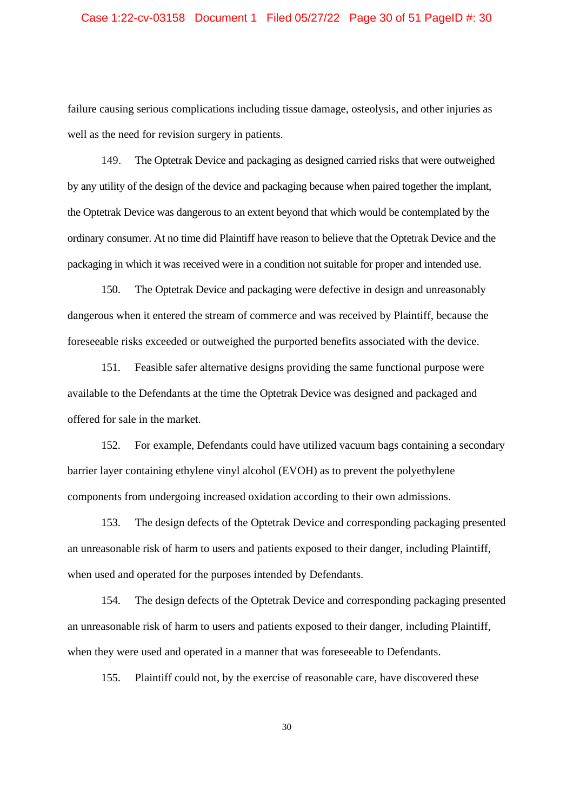### Case 1:22-cv-03158 Document 1 Filed 05/27/22 Page 30 of 51 PageID #: 30

failure causing serious complications including tissue damage, osteolysis, and other injuries as well as the need for revision surgery in patients.

149. The Optetrak Device and packaging as designed carried risks that were outweighed by any utility of the design of the device and packaging because when paired together the implant, the Optetrak Device was dangerous to an extent beyond that which would be contemplated by the ordinary consumer. At no time did Plaintiff have reason to believe that the Optetrak Device and the packaging in which it was received were in a condition not suitable for proper and intended use.

150. The Optetrak Device and packaging were defective in design and unreasonably dangerous when it entered the stream of commerce and was received by Plaintiff, because the foreseeable risks exceeded or outweighed the purported benefits associated with the device.

151. Feasible safer alternative designs providing the same functional purpose were available to the Defendants at the time the Optetrak Device was designed and packaged and offered for sale in the market.

152. For example, Defendants could have utilized vacuum bags containing a secondary barrier layer containing ethylene vinyl alcohol (EVOH) as to prevent the polyethylene components from undergoing increased oxidation according to their own admissions.

153. The design defects of the Optetrak Device and corresponding packaging presented an unreasonable risk of harm to users and patients exposed to their danger, including Plaintiff, when used and operated for the purposes intended by Defendants.

154. The design defects of the Optetrak Device and corresponding packaging presented an unreasonable risk of harm to users and patients exposed to their danger, including Plaintiff, when they were used and operated in a manner that was foreseeable to Defendants.

155. Plaintiff could not, by the exercise of reasonable care, have discovered these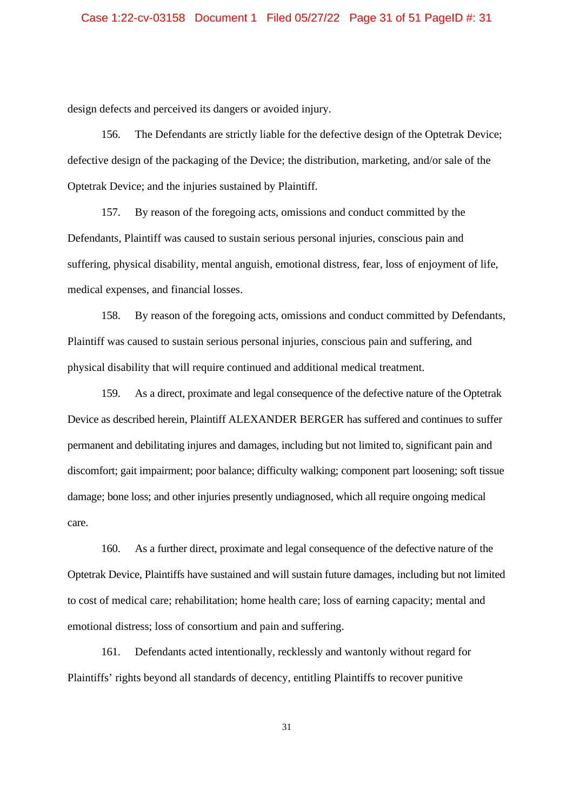design defects and perceived its dangers or avoided injury.

156. The Defendants are strictly liable for the defective design of the Optetrak Device; defective design of the packaging of the Device; the distribution, marketing, and/or sale of the Optetrak Device; and the injuries sustained by Plaintiff.

157. By reason of the foregoing acts, omissions and conduct committed by the Defendants, Plaintiff was caused to sustain serious personal injuries, conscious pain and suffering, physical disability, mental anguish, emotional distress, fear, loss of enjoyment of life, medical expenses, and financial losses.

158. By reason of the foregoing acts, omissions and conduct committed by Defendants, Plaintiff was caused to sustain serious personal injuries, conscious pain and suffering, and physical disability that will require continued and additional medical treatment.

159. As a direct, proximate and legal consequence of the defective nature of the Optetrak Device as described herein, Plaintiff ALEXANDER BERGER has suffered and continues to suffer permanent and debilitating injures and damages, including but not limited to, significant pain and discomfort; gait impairment; poor balance; difficulty walking; component part loosening; soft tissue damage; bone loss; and other injuries presently undiagnosed, which all require ongoing medical care.

160. As a further direct, proximate and legal consequence of the defective nature of the Optetrak Device, Plaintiffs have sustained and will sustain future damages, including but not limited to cost of medical care; rehabilitation; home health care; loss of earning capacity; mental and emotional distress; loss of consortium and pain and suffering.

161. Defendants acted intentionally, recklessly and wantonly without regard for Plaintiffs' rights beyond all standards of decency, entitling Plaintiffs to recover punitive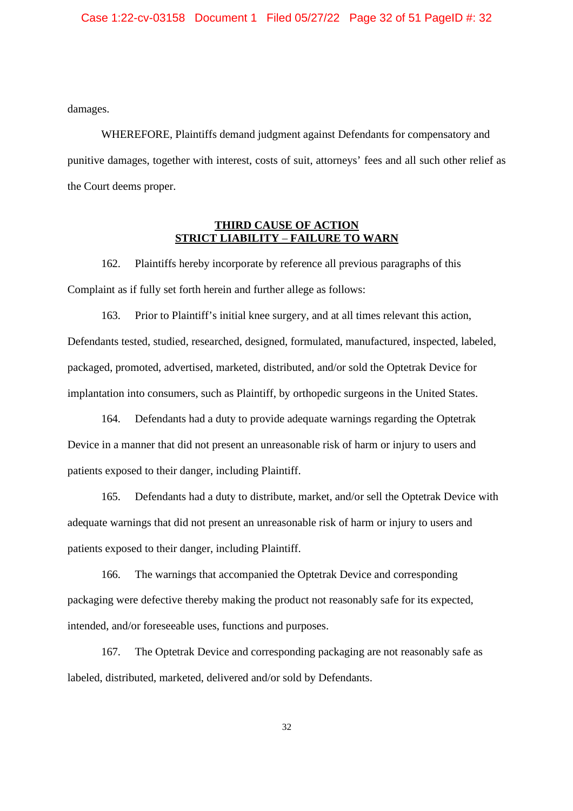damages.

WHEREFORE, Plaintiffs demand judgment against Defendants for compensatory and punitive damages, together with interest, costs of suit, attorneys' fees and all such other relief as the Court deems proper.

## **THIRD CAUSE OF ACTION STRICT LIABILITY** – **FAILURE TO WARN**

162. Plaintiffs hereby incorporate by reference all previous paragraphs of this Complaint as if fully set forth herein and further allege as follows:

163. Prior to Plaintiff's initial knee surgery, and at all times relevant this action, Defendants tested, studied, researched, designed, formulated, manufactured, inspected, labeled, packaged, promoted, advertised, marketed, distributed, and/or sold the Optetrak Device for implantation into consumers, such as Plaintiff, by orthopedic surgeons in the United States.

164. Defendants had a duty to provide adequate warnings regarding the Optetrak Device in a manner that did not present an unreasonable risk of harm or injury to users and patients exposed to their danger, including Plaintiff.

165. Defendants had a duty to distribute, market, and/or sell the Optetrak Device with adequate warnings that did not present an unreasonable risk of harm or injury to users and patients exposed to their danger, including Plaintiff.

166. The warnings that accompanied the Optetrak Device and corresponding packaging were defective thereby making the product not reasonably safe for its expected, intended, and/or foreseeable uses, functions and purposes.

167. The Optetrak Device and corresponding packaging are not reasonably safe as labeled, distributed, marketed, delivered and/or sold by Defendants.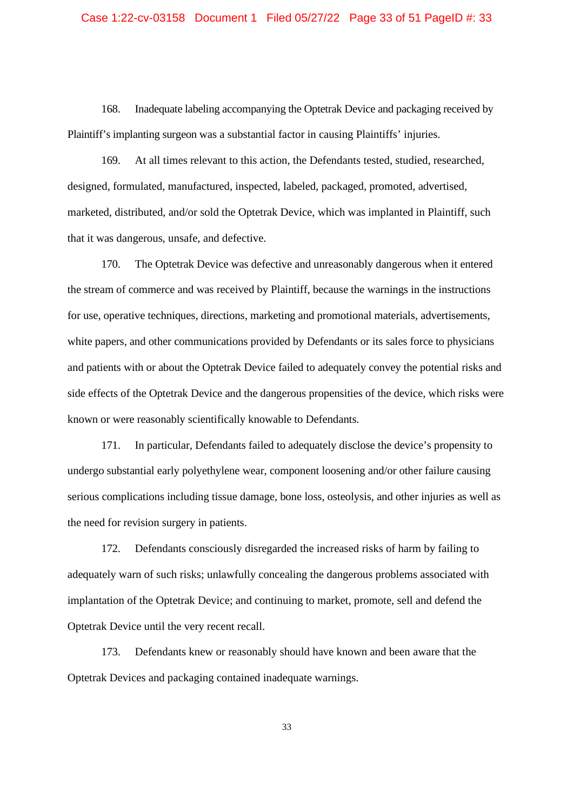### Case 1:22-cv-03158 Document 1 Filed 05/27/22 Page 33 of 51 PageID #: 33

168. Inadequate labeling accompanying the Optetrak Device and packaging received by Plaintiff's implanting surgeon was a substantial factor in causing Plaintiffs' injuries.

169. At all times relevant to this action, the Defendants tested, studied, researched, designed, formulated, manufactured, inspected, labeled, packaged, promoted, advertised, marketed, distributed, and/or sold the Optetrak Device, which was implanted in Plaintiff, such that it was dangerous, unsafe, and defective.

170. The Optetrak Device was defective and unreasonably dangerous when it entered the stream of commerce and was received by Plaintiff, because the warnings in the instructions for use, operative techniques, directions, marketing and promotional materials, advertisements, white papers, and other communications provided by Defendants or its sales force to physicians and patients with or about the Optetrak Device failed to adequately convey the potential risks and side effects of the Optetrak Device and the dangerous propensities of the device, which risks were known or were reasonably scientifically knowable to Defendants.

171. In particular, Defendants failed to adequately disclose the device's propensity to undergo substantial early polyethylene wear, component loosening and/or other failure causing serious complications including tissue damage, bone loss, osteolysis, and other injuries as well as the need for revision surgery in patients.

172. Defendants consciously disregarded the increased risks of harm by failing to adequately warn of such risks; unlawfully concealing the dangerous problems associated with implantation of the Optetrak Device; and continuing to market, promote, sell and defend the Optetrak Device until the very recent recall.

173. Defendants knew or reasonably should have known and been aware that the Optetrak Devices and packaging contained inadequate warnings.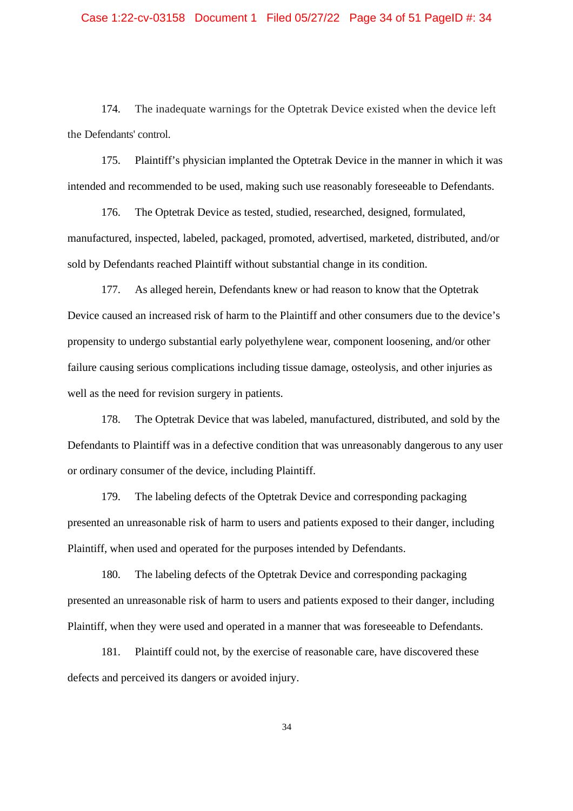## Case 1:22-cv-03158 Document 1 Filed 05/27/22 Page 34 of 51 PageID #: 34

174. The inadequate warnings for the Optetrak Device existed when the device left the Defendants' control.

175. Plaintiff's physician implanted the Optetrak Device in the manner in which it was intended and recommended to be used, making such use reasonably foreseeable to Defendants.

176. The Optetrak Device as tested, studied, researched, designed, formulated, manufactured, inspected, labeled, packaged, promoted, advertised, marketed, distributed, and/or sold by Defendants reached Plaintiff without substantial change in its condition.

177. As alleged herein, Defendants knew or had reason to know that the Optetrak Device caused an increased risk of harm to the Plaintiff and other consumers due to the device's propensity to undergo substantial early polyethylene wear, component loosening, and/or other failure causing serious complications including tissue damage, osteolysis, and other injuries as well as the need for revision surgery in patients.

178. The Optetrak Device that was labeled, manufactured, distributed, and sold by the Defendants to Plaintiff was in a defective condition that was unreasonably dangerous to any user or ordinary consumer of the device, including Plaintiff.

179. The labeling defects of the Optetrak Device and corresponding packaging presented an unreasonable risk of harm to users and patients exposed to their danger, including Plaintiff, when used and operated for the purposes intended by Defendants.

180. The labeling defects of the Optetrak Device and corresponding packaging presented an unreasonable risk of harm to users and patients exposed to their danger, including Plaintiff, when they were used and operated in a manner that was foreseeable to Defendants.

181. Plaintiff could not, by the exercise of reasonable care, have discovered these defects and perceived its dangers or avoided injury.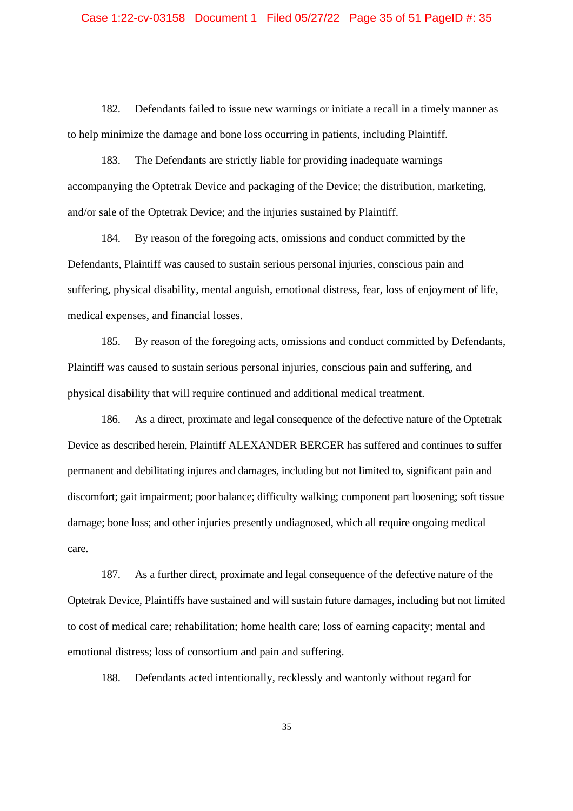### Case 1:22-cv-03158 Document 1 Filed 05/27/22 Page 35 of 51 PageID #: 35

182. Defendants failed to issue new warnings or initiate a recall in a timely manner as to help minimize the damage and bone loss occurring in patients, including Plaintiff.

183. The Defendants are strictly liable for providing inadequate warnings accompanying the Optetrak Device and packaging of the Device; the distribution, marketing, and/or sale of the Optetrak Device; and the injuries sustained by Plaintiff.

184. By reason of the foregoing acts, omissions and conduct committed by the Defendants, Plaintiff was caused to sustain serious personal injuries, conscious pain and suffering, physical disability, mental anguish, emotional distress, fear, loss of enjoyment of life, medical expenses, and financial losses.

185. By reason of the foregoing acts, omissions and conduct committed by Defendants, Plaintiff was caused to sustain serious personal injuries, conscious pain and suffering, and physical disability that will require continued and additional medical treatment.

186. As a direct, proximate and legal consequence of the defective nature of the Optetrak Device as described herein, Plaintiff ALEXANDER BERGER has suffered and continues to suffer permanent and debilitating injures and damages, including but not limited to, significant pain and discomfort; gait impairment; poor balance; difficulty walking; component part loosening; soft tissue damage; bone loss; and other injuries presently undiagnosed, which all require ongoing medical care.

187. As a further direct, proximate and legal consequence of the defective nature of the Optetrak Device, Plaintiffs have sustained and will sustain future damages, including but not limited to cost of medical care; rehabilitation; home health care; loss of earning capacity; mental and emotional distress; loss of consortium and pain and suffering.

188. Defendants acted intentionally, recklessly and wantonly without regard for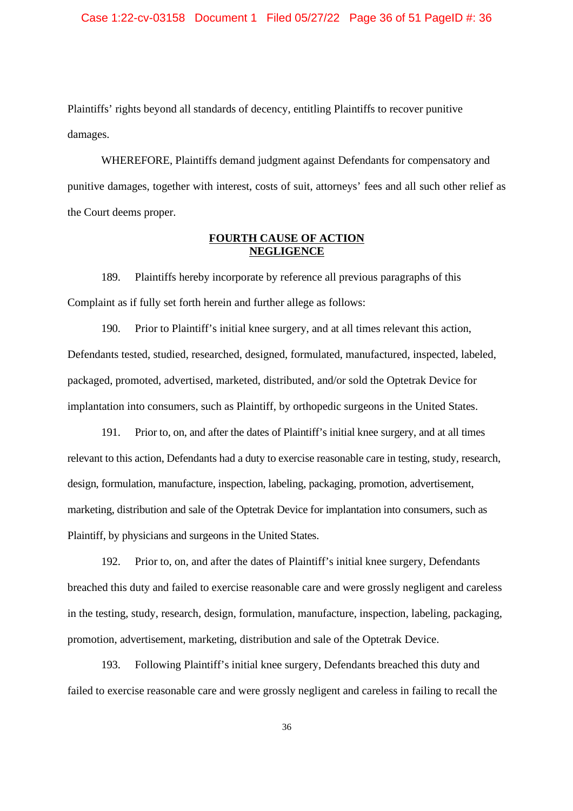Plaintiffs' rights beyond all standards of decency, entitling Plaintiffs to recover punitive damages.

WHEREFORE, Plaintiffs demand judgment against Defendants for compensatory and punitive damages, together with interest, costs of suit, attorneys' fees and all such other relief as the Court deems proper.

## **FOURTH CAUSE OF ACTION NEGLIGENCE**

189. Plaintiffs hereby incorporate by reference all previous paragraphs of this Complaint as if fully set forth herein and further allege as follows:

190. Prior to Plaintiff's initial knee surgery, and at all times relevant this action, Defendants tested, studied, researched, designed, formulated, manufactured, inspected, labeled, packaged, promoted, advertised, marketed, distributed, and/or sold the Optetrak Device for implantation into consumers, such as Plaintiff, by orthopedic surgeons in the United States.

191. Prior to, on, and after the dates of Plaintiff's initial knee surgery, and at all times relevant to this action, Defendants had a duty to exercise reasonable care in testing, study, research, design, formulation, manufacture, inspection, labeling, packaging, promotion, advertisement, marketing, distribution and sale of the Optetrak Device for implantation into consumers, such as Plaintiff, by physicians and surgeons in the United States.

192. Prior to, on, and after the dates of Plaintiff's initial knee surgery, Defendants breached this duty and failed to exercise reasonable care and were grossly negligent and careless in the testing, study, research, design, formulation, manufacture, inspection, labeling, packaging, promotion, advertisement, marketing, distribution and sale of the Optetrak Device.

193. Following Plaintiff's initial knee surgery, Defendants breached this duty and failed to exercise reasonable care and were grossly negligent and careless in failing to recall the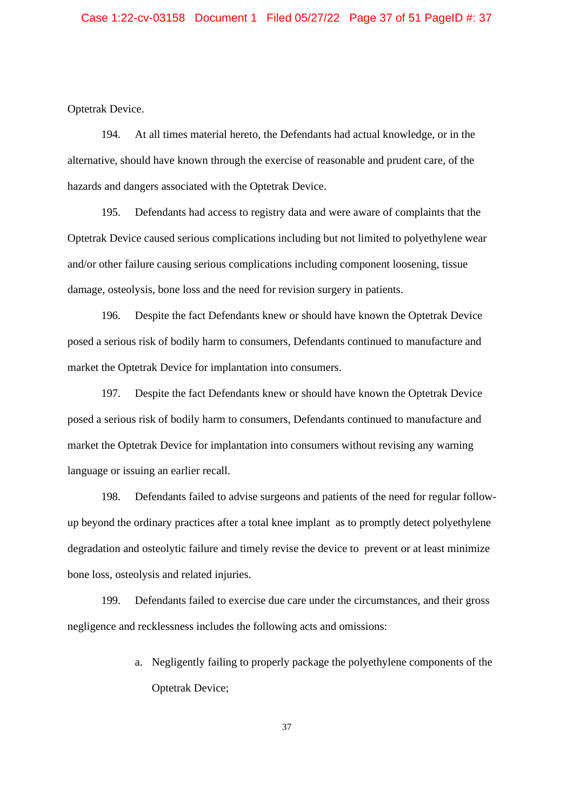Optetrak Device.

194. At all times material hereto, the Defendants had actual knowledge, or in the alternative, should have known through the exercise of reasonable and prudent care, of the hazards and dangers associated with the Optetrak Device.

195. Defendants had access to registry data and were aware of complaints that the Optetrak Device caused serious complications including but not limited to polyethylene wear and/or other failure causing serious complications including component loosening, tissue damage, osteolysis, bone loss and the need for revision surgery in patients.

196. Despite the fact Defendants knew or should have known the Optetrak Device posed a serious risk of bodily harm to consumers, Defendants continued to manufacture and market the Optetrak Device for implantation into consumers.

197. Despite the fact Defendants knew or should have known the Optetrak Device posed a serious risk of bodily harm to consumers, Defendants continued to manufacture and market the Optetrak Device for implantation into consumers without revising any warning language or issuing an earlier recall.

198. Defendants failed to advise surgeons and patients of the need for regular followup beyond the ordinary practices after a total knee implant as to promptly detect polyethylene degradation and osteolytic failure and timely revise the device to prevent or at least minimize bone loss, osteolysis and related injuries.

199. Defendants failed to exercise due care under the circumstances, and their gross negligence and recklessness includes the following acts and omissions:

> a. Negligently failing to properly package the polyethylene components of the Optetrak Device;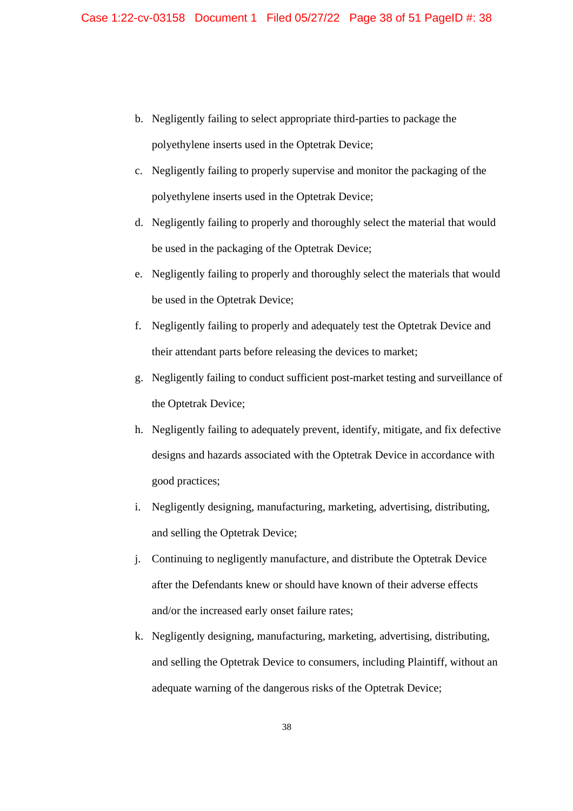- b. Negligently failing to select appropriate third-parties to package the polyethylene inserts used in the Optetrak Device;
- c. Negligently failing to properly supervise and monitor the packaging of the polyethylene inserts used in the Optetrak Device;
- d. Negligently failing to properly and thoroughly select the material that would be used in the packaging of the Optetrak Device;
- e. Negligently failing to properly and thoroughly select the materials that would be used in the Optetrak Device;
- f. Negligently failing to properly and adequately test the Optetrak Device and their attendant parts before releasing the devices to market;
- g. Negligently failing to conduct sufficient post-market testing and surveillance of the Optetrak Device;
- h. Negligently failing to adequately prevent, identify, mitigate, and fix defective designs and hazards associated with the Optetrak Device in accordance with good practices;
- i. Negligently designing, manufacturing, marketing, advertising, distributing, and selling the Optetrak Device;
- j. Continuing to negligently manufacture, and distribute the Optetrak Device after the Defendants knew or should have known of their adverse effects and/or the increased early onset failure rates;
- k. Negligently designing, manufacturing, marketing, advertising, distributing, and selling the Optetrak Device to consumers, including Plaintiff, without an adequate warning of the dangerous risks of the Optetrak Device;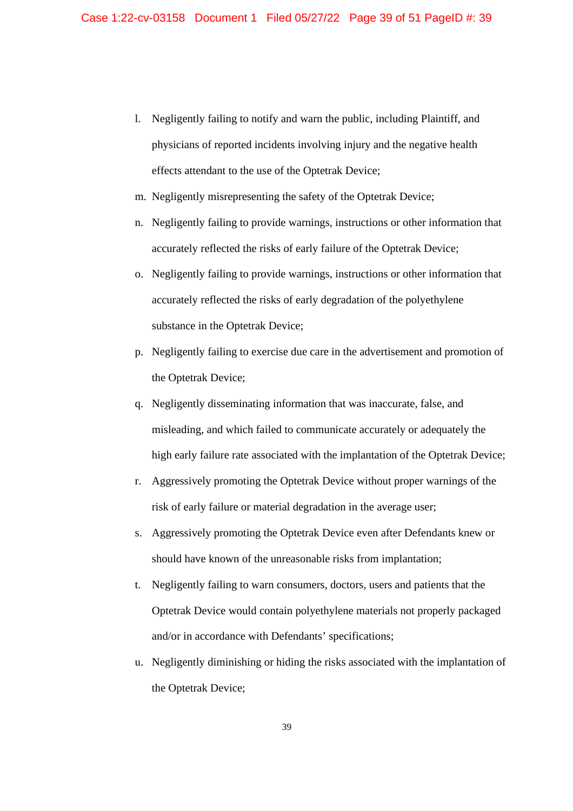- l. Negligently failing to notify and warn the public, including Plaintiff, and physicians of reported incidents involving injury and the negative health effects attendant to the use of the Optetrak Device;
- m. Negligently misrepresenting the safety of the Optetrak Device;
- n. Negligently failing to provide warnings, instructions or other information that accurately reflected the risks of early failure of the Optetrak Device;
- o. Negligently failing to provide warnings, instructions or other information that accurately reflected the risks of early degradation of the polyethylene substance in the Optetrak Device;
- p. Negligently failing to exercise due care in the advertisement and promotion of the Optetrak Device;
- q. Negligently disseminating information that was inaccurate, false, and misleading, and which failed to communicate accurately or adequately the high early failure rate associated with the implantation of the Optetrak Device;
- r. Aggressively promoting the Optetrak Device without proper warnings of the risk of early failure or material degradation in the average user;
- s. Aggressively promoting the Optetrak Device even after Defendants knew or should have known of the unreasonable risks from implantation;
- t. Negligently failing to warn consumers, doctors, users and patients that the Optetrak Device would contain polyethylene materials not properly packaged and/or in accordance with Defendants' specifications;
- u. Negligently diminishing or hiding the risks associated with the implantation of the Optetrak Device;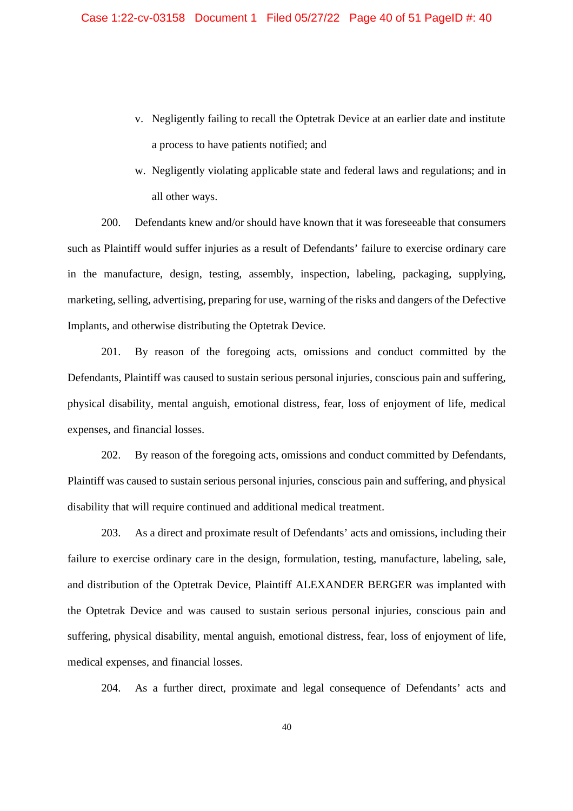- v. Negligently failing to recall the Optetrak Device at an earlier date and institute a process to have patients notified; and
- w. Negligently violating applicable state and federal laws and regulations; and in all other ways.

200. Defendants knew and/or should have known that it was foreseeable that consumers such as Plaintiff would suffer injuries as a result of Defendants' failure to exercise ordinary care in the manufacture, design, testing, assembly, inspection, labeling, packaging, supplying, marketing, selling, advertising, preparing for use, warning of the risks and dangers of the Defective Implants, and otherwise distributing the Optetrak Device.

201. By reason of the foregoing acts, omissions and conduct committed by the Defendants, Plaintiff was caused to sustain serious personal injuries, conscious pain and suffering, physical disability, mental anguish, emotional distress, fear, loss of enjoyment of life, medical expenses, and financial losses.

202. By reason of the foregoing acts, omissions and conduct committed by Defendants, Plaintiff was caused to sustain serious personal injuries, conscious pain and suffering, and physical disability that will require continued and additional medical treatment.

203. As a direct and proximate result of Defendants' acts and omissions, including their failure to exercise ordinary care in the design, formulation, testing, manufacture, labeling, sale, and distribution of the Optetrak Device, Plaintiff ALEXANDER BERGER was implanted with the Optetrak Device and was caused to sustain serious personal injuries, conscious pain and suffering, physical disability, mental anguish, emotional distress, fear, loss of enjoyment of life, medical expenses, and financial losses.

204. As a further direct, proximate and legal consequence of Defendants' acts and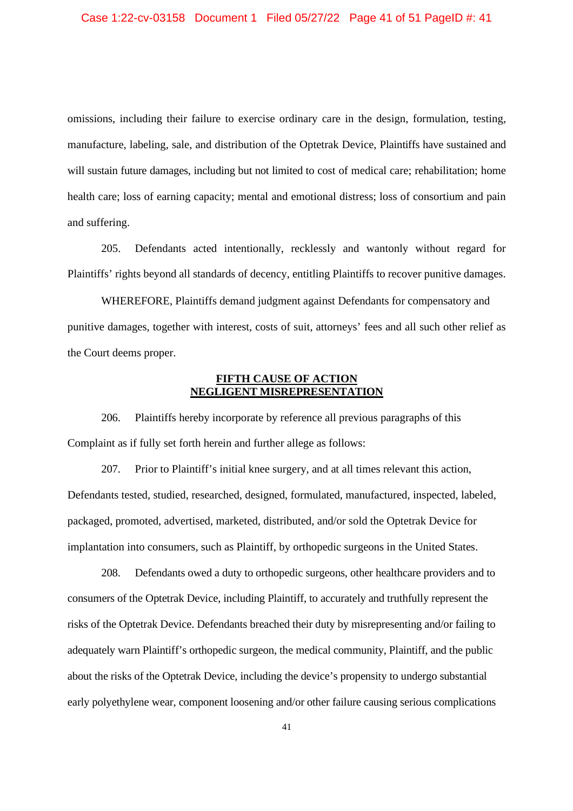omissions, including their failure to exercise ordinary care in the design, formulation, testing, manufacture, labeling, sale, and distribution of the Optetrak Device, Plaintiffs have sustained and will sustain future damages, including but not limited to cost of medical care; rehabilitation; home health care; loss of earning capacity; mental and emotional distress; loss of consortium and pain and suffering.

205. Defendants acted intentionally, recklessly and wantonly without regard for Plaintiffs' rights beyond all standards of decency, entitling Plaintiffs to recover punitive damages.

WHEREFORE, Plaintiffs demand judgment against Defendants for compensatory and punitive damages, together with interest, costs of suit, attorneys' fees and all such other relief as the Court deems proper.

### **FIFTH CAUSE OF ACTION NEGLIGENT MISREPRESENTATION**

206. Plaintiffs hereby incorporate by reference all previous paragraphs of this Complaint as if fully set forth herein and further allege as follows:

207. Prior to Plaintiff's initial knee surgery, and at all times relevant this action, Defendants tested, studied, researched, designed, formulated, manufactured, inspected, labeled, packaged, promoted, advertised, marketed, distributed, and/or sold the Optetrak Device for implantation into consumers, such as Plaintiff, by orthopedic surgeons in the United States.

208. Defendants owed a duty to orthopedic surgeons, other healthcare providers and to consumers of the Optetrak Device, including Plaintiff, to accurately and truthfully represent the risks of the Optetrak Device. Defendants breached their duty by misrepresenting and/or failing to adequately warn Plaintiff's orthopedic surgeon, the medical community, Plaintiff, and the public about the risks of the Optetrak Device, including the device's propensity to undergo substantial early polyethylene wear, component loosening and/or other failure causing serious complications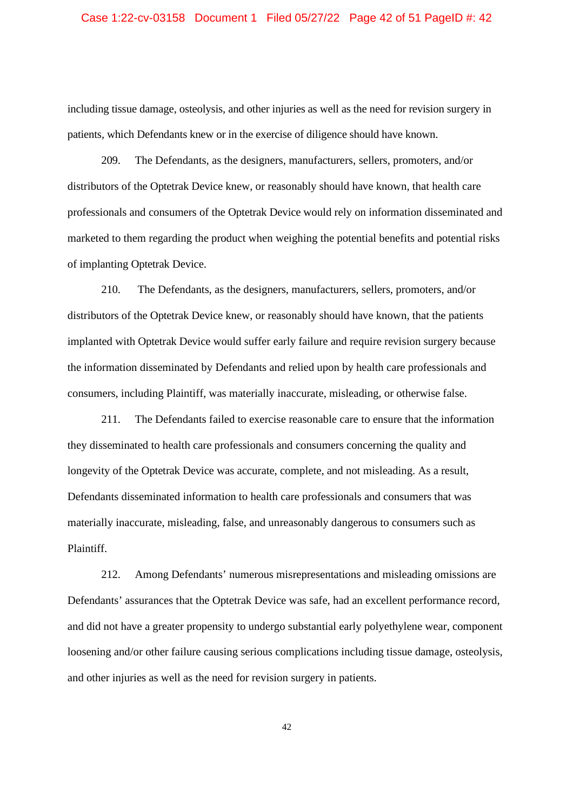### Case 1:22-cv-03158 Document 1 Filed 05/27/22 Page 42 of 51 PageID #: 42

including tissue damage, osteolysis, and other injuries as well as the need for revision surgery in patients, which Defendants knew or in the exercise of diligence should have known.

209. The Defendants, as the designers, manufacturers, sellers, promoters, and/or distributors of the Optetrak Device knew, or reasonably should have known, that health care professionals and consumers of the Optetrak Device would rely on information disseminated and marketed to them regarding the product when weighing the potential benefits and potential risks of implanting Optetrak Device.

210. The Defendants, as the designers, manufacturers, sellers, promoters, and/or distributors of the Optetrak Device knew, or reasonably should have known, that the patients implanted with Optetrak Device would suffer early failure and require revision surgery because the information disseminated by Defendants and relied upon by health care professionals and consumers, including Plaintiff, was materially inaccurate, misleading, or otherwise false.

211. The Defendants failed to exercise reasonable care to ensure that the information they disseminated to health care professionals and consumers concerning the quality and longevity of the Optetrak Device was accurate, complete, and not misleading. As a result, Defendants disseminated information to health care professionals and consumers that was materially inaccurate, misleading, false, and unreasonably dangerous to consumers such as Plaintiff.

212. Among Defendants' numerous misrepresentations and misleading omissions are Defendants' assurances that the Optetrak Device was safe, had an excellent performance record, and did not have a greater propensity to undergo substantial early polyethylene wear, component loosening and/or other failure causing serious complications including tissue damage, osteolysis, and other injuries as well as the need for revision surgery in patients.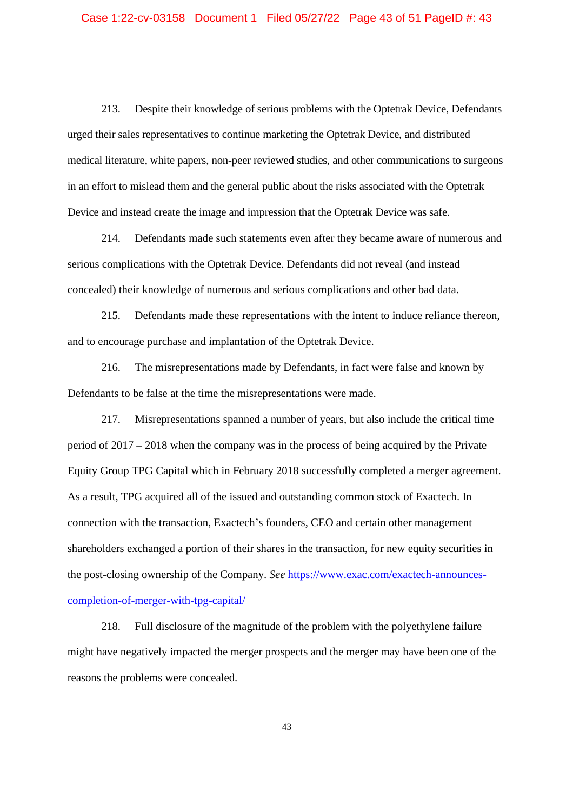213. Despite their knowledge of serious problems with the Optetrak Device, Defendants urged their sales representatives to continue marketing the Optetrak Device, and distributed medical literature, white papers, non-peer reviewed studies, and other communications to surgeons in an effort to mislead them and the general public about the risks associated with the Optetrak Device and instead create the image and impression that the Optetrak Device was safe.

214. Defendants made such statements even after they became aware of numerous and serious complications with the Optetrak Device. Defendants did not reveal (and instead concealed) their knowledge of numerous and serious complications and other bad data.

215. Defendants made these representations with the intent to induce reliance thereon, and to encourage purchase and implantation of the Optetrak Device.

216. The misrepresentations made by Defendants, in fact were false and known by Defendants to be false at the time the misrepresentations were made.

217. Misrepresentations spanned a number of years, but also include the critical time period of 2017 – 2018 when the company was in the process of being acquired by the Private Equity Group TPG Capital which in February 2018 successfully completed a merger agreement. As a result, TPG acquired all of the issued and outstanding common stock of Exactech. In connection with the transaction, Exactech's founders, CEO and certain other management shareholders exchanged a portion of their shares in the transaction, for new equity securities in the post-closing ownership of the Company. *See* https://www.exac.com/exactech-announcescompletion-of-merger-with-tpg-capital/

218. Full disclosure of the magnitude of the problem with the polyethylene failure might have negatively impacted the merger prospects and the merger may have been one of the reasons the problems were concealed.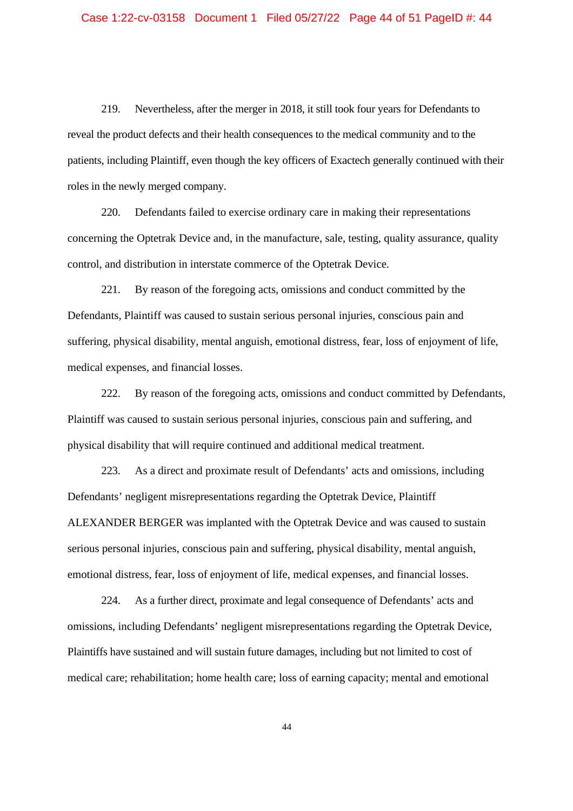219. Nevertheless, after the merger in 2018, it still took four years for Defendants to reveal the product defects and their health consequences to the medical community and to the patients, including Plaintiff, even though the key officers of Exactech generally continued with their roles in the newly merged company.

220. Defendants failed to exercise ordinary care in making their representations concerning the Optetrak Device and, in the manufacture, sale, testing, quality assurance, quality control, and distribution in interstate commerce of the Optetrak Device.

221. By reason of the foregoing acts, omissions and conduct committed by the Defendants, Plaintiff was caused to sustain serious personal injuries, conscious pain and suffering, physical disability, mental anguish, emotional distress, fear, loss of enjoyment of life, medical expenses, and financial losses.

222. By reason of the foregoing acts, omissions and conduct committed by Defendants, Plaintiff was caused to sustain serious personal injuries, conscious pain and suffering, and physical disability that will require continued and additional medical treatment.

223. As a direct and proximate result of Defendants' acts and omissions, including Defendants' negligent misrepresentations regarding the Optetrak Device, Plaintiff ALEXANDER BERGER was implanted with the Optetrak Device and was caused to sustain serious personal injuries, conscious pain and suffering, physical disability, mental anguish, emotional distress, fear, loss of enjoyment of life, medical expenses, and financial losses.

224. As a further direct, proximate and legal consequence of Defendants' acts and omissions, including Defendants' negligent misrepresentations regarding the Optetrak Device, Plaintiffs have sustained and will sustain future damages, including but not limited to cost of medical care; rehabilitation; home health care; loss of earning capacity; mental and emotional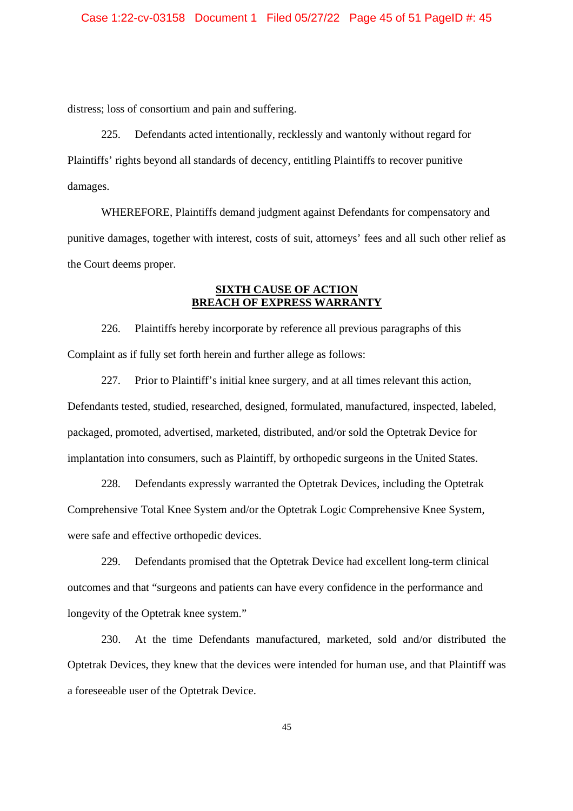distress; loss of consortium and pain and suffering.

225. Defendants acted intentionally, recklessly and wantonly without regard for Plaintiffs' rights beyond all standards of decency, entitling Plaintiffs to recover punitive damages.

WHEREFORE, Plaintiffs demand judgment against Defendants for compensatory and punitive damages, together with interest, costs of suit, attorneys' fees and all such other relief as the Court deems proper.

## **SIXTH CAUSE OF ACTION BREACH OF EXPRESS WARRANTY**

226. Plaintiffs hereby incorporate by reference all previous paragraphs of this Complaint as if fully set forth herein and further allege as follows:

227. Prior to Plaintiff's initial knee surgery, and at all times relevant this action, Defendants tested, studied, researched, designed, formulated, manufactured, inspected, labeled, packaged, promoted, advertised, marketed, distributed, and/or sold the Optetrak Device for implantation into consumers, such as Plaintiff, by orthopedic surgeons in the United States.

228. Defendants expressly warranted the Optetrak Devices, including the Optetrak Comprehensive Total Knee System and/or the Optetrak Logic Comprehensive Knee System, were safe and effective orthopedic devices.

229. Defendants promised that the Optetrak Device had excellent long-term clinical outcomes and that "surgeons and patients can have every confidence in the performance and longevity of the Optetrak knee system."

230. At the time Defendants manufactured, marketed, sold and/or distributed the Optetrak Devices, they knew that the devices were intended for human use, and that Plaintiff was a foreseeable user of the Optetrak Device.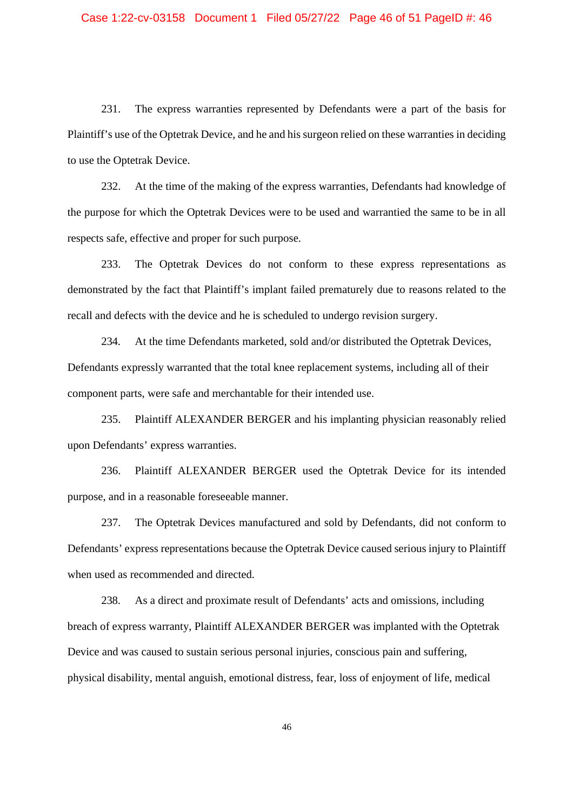### Case 1:22-cv-03158 Document 1 Filed 05/27/22 Page 46 of 51 PageID #: 46

231. The express warranties represented by Defendants were a part of the basis for Plaintiff's use of the Optetrak Device, and he and his surgeon relied on these warranties in deciding to use the Optetrak Device.

232. At the time of the making of the express warranties, Defendants had knowledge of the purpose for which the Optetrak Devices were to be used and warrantied the same to be in all respects safe, effective and proper for such purpose.

233. The Optetrak Devices do not conform to these express representations as demonstrated by the fact that Plaintiff's implant failed prematurely due to reasons related to the recall and defects with the device and he is scheduled to undergo revision surgery.

234. At the time Defendants marketed, sold and/or distributed the Optetrak Devices, Defendants expressly warranted that the total knee replacement systems, including all of their component parts, were safe and merchantable for their intended use.

235. Plaintiff ALEXANDER BERGER and his implanting physician reasonably relied upon Defendants' express warranties.

236. Plaintiff ALEXANDER BERGER used the Optetrak Device for its intended purpose, and in a reasonable foreseeable manner.

237. The Optetrak Devices manufactured and sold by Defendants, did not conform to Defendants' express representations because the Optetrak Device caused serious injury to Plaintiff when used as recommended and directed.

238. As a direct and proximate result of Defendants' acts and omissions, including breach of express warranty, Plaintiff ALEXANDER BERGER was implanted with the Optetrak Device and was caused to sustain serious personal injuries, conscious pain and suffering, physical disability, mental anguish, emotional distress, fear, loss of enjoyment of life, medical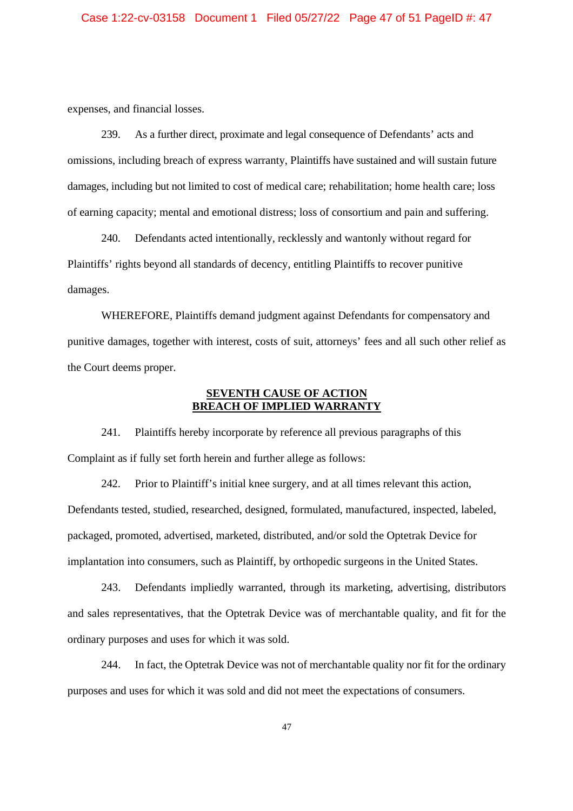expenses, and financial losses.

239. As a further direct, proximate and legal consequence of Defendants' acts and omissions, including breach of express warranty, Plaintiffs have sustained and will sustain future damages, including but not limited to cost of medical care; rehabilitation; home health care; loss of earning capacity; mental and emotional distress; loss of consortium and pain and suffering.

240. Defendants acted intentionally, recklessly and wantonly without regard for Plaintiffs' rights beyond all standards of decency, entitling Plaintiffs to recover punitive damages.

WHEREFORE, Plaintiffs demand judgment against Defendants for compensatory and punitive damages, together with interest, costs of suit, attorneys' fees and all such other relief as the Court deems proper.

## **SEVENTH CAUSE OF ACTION BREACH OF IMPLIED WARRANTY**

241. Plaintiffs hereby incorporate by reference all previous paragraphs of this Complaint as if fully set forth herein and further allege as follows:

242. Prior to Plaintiff's initial knee surgery, and at all times relevant this action, Defendants tested, studied, researched, designed, formulated, manufactured, inspected, labeled, packaged, promoted, advertised, marketed, distributed, and/or sold the Optetrak Device for implantation into consumers, such as Plaintiff, by orthopedic surgeons in the United States.

243. Defendants impliedly warranted, through its marketing, advertising, distributors and sales representatives, that the Optetrak Device was of merchantable quality, and fit for the ordinary purposes and uses for which it was sold.

244. In fact, the Optetrak Device was not of merchantable quality nor fit for the ordinary purposes and uses for which it was sold and did not meet the expectations of consumers.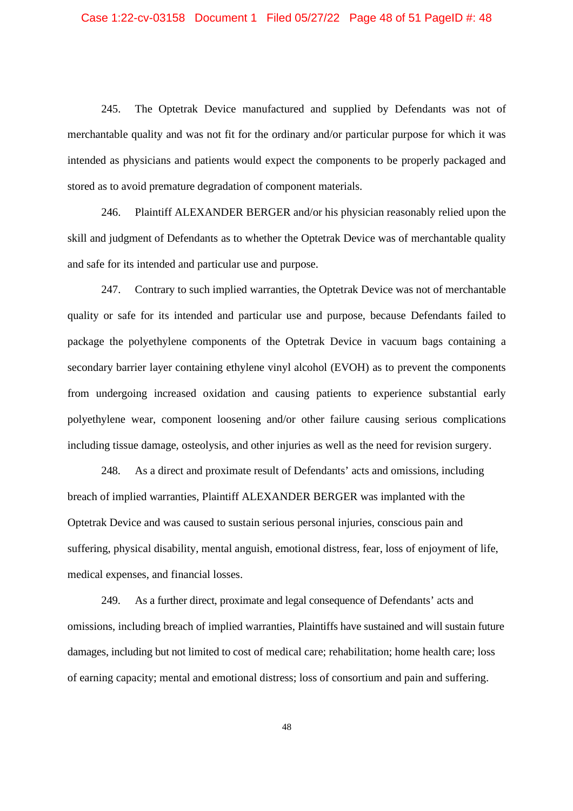245. The Optetrak Device manufactured and supplied by Defendants was not of merchantable quality and was not fit for the ordinary and/or particular purpose for which it was intended as physicians and patients would expect the components to be properly packaged and stored as to avoid premature degradation of component materials.

246. Plaintiff ALEXANDER BERGER and/or his physician reasonably relied upon the skill and judgment of Defendants as to whether the Optetrak Device was of merchantable quality and safe for its intended and particular use and purpose.

247. Contrary to such implied warranties, the Optetrak Device was not of merchantable quality or safe for its intended and particular use and purpose, because Defendants failed to package the polyethylene components of the Optetrak Device in vacuum bags containing a secondary barrier layer containing ethylene vinyl alcohol (EVOH) as to prevent the components from undergoing increased oxidation and causing patients to experience substantial early polyethylene wear, component loosening and/or other failure causing serious complications including tissue damage, osteolysis, and other injuries as well as the need for revision surgery.

248. As a direct and proximate result of Defendants' acts and omissions, including breach of implied warranties, Plaintiff ALEXANDER BERGER was implanted with the Optetrak Device and was caused to sustain serious personal injuries, conscious pain and suffering, physical disability, mental anguish, emotional distress, fear, loss of enjoyment of life, medical expenses, and financial losses.

249. As a further direct, proximate and legal consequence of Defendants' acts and omissions, including breach of implied warranties, Plaintiffs have sustained and will sustain future damages, including but not limited to cost of medical care; rehabilitation; home health care; loss of earning capacity; mental and emotional distress; loss of consortium and pain and suffering.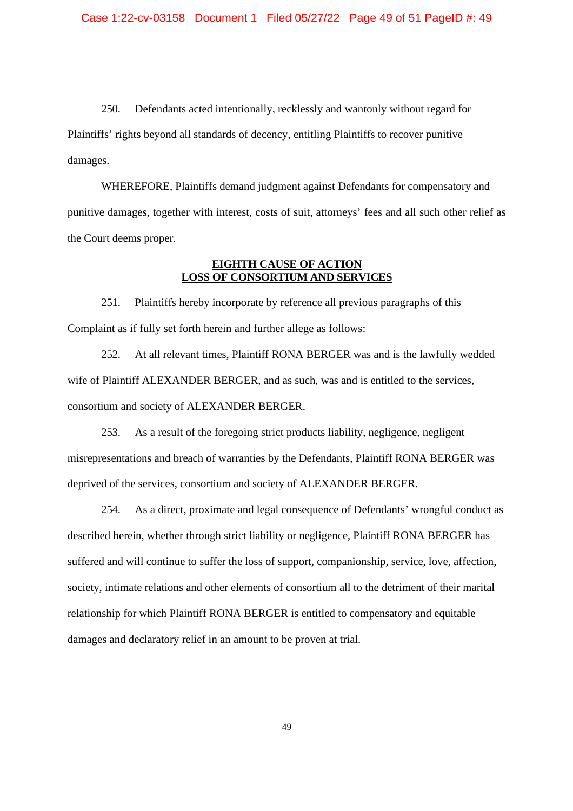250. Defendants acted intentionally, recklessly and wantonly without regard for Plaintiffs' rights beyond all standards of decency, entitling Plaintiffs to recover punitive damages.

WHEREFORE, Plaintiffs demand judgment against Defendants for compensatory and punitive damages, together with interest, costs of suit, attorneys' fees and all such other relief as the Court deems proper.

## **EIGHTH CAUSE OF ACTION LOSS OF CONSORTIUM AND SERVICES**

251. Plaintiffs hereby incorporate by reference all previous paragraphs of this Complaint as if fully set forth herein and further allege as follows:

252. At all relevant times, Plaintiff RONA BERGER was and is the lawfully wedded wife of Plaintiff ALEXANDER BERGER, and as such, was and is entitled to the services, consortium and society of ALEXANDER BERGER.

253. As a result of the foregoing strict products liability, negligence, negligent misrepresentations and breach of warranties by the Defendants, Plaintiff RONA BERGER was deprived of the services, consortium and society of ALEXANDER BERGER.

254. As a direct, proximate and legal consequence of Defendants' wrongful conduct as described herein, whether through strict liability or negligence, Plaintiff RONA BERGER has suffered and will continue to suffer the loss of support, companionship, service, love, affection, society, intimate relations and other elements of consortium all to the detriment of their marital relationship for which Plaintiff RONA BERGER is entitled to compensatory and equitable damages and declaratory relief in an amount to be proven at trial.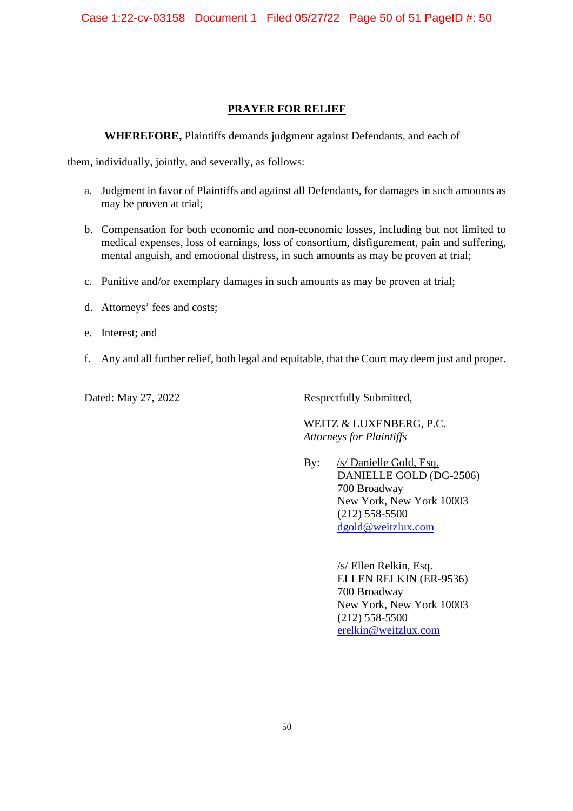# **PRAYER FOR RELIEF**

**WHEREFORE,** Plaintiffs demands judgment against Defendants, and each of

them, individually, jointly, and severally, as follows:

- a. Judgment in favor of Plaintiffs and against all Defendants, for damages in such amounts as may be proven at trial;
- b. Compensation for both economic and non-economic losses, including but not limited to medical expenses, loss of earnings, loss of consortium, disfigurement, pain and suffering, mental anguish, and emotional distress, in such amounts as may be proven at trial;
- c. Punitive and/or exemplary damages in such amounts as may be proven at trial;
- d. Attorneys' fees and costs;
- e. Interest; and
- f. Any and all further relief, both legal and equitable, that the Court may deem just and proper.

Dated: May 27, 2022 Respectfully Submitted,

WEITZ & LUXENBERG, P.C. *Attorneys for Plaintiffs*

By: /s/ Danielle Gold, Esq. DANIELLE GOLD (DG-2506) 700 Broadway New York, New York 10003 (212) 558-5500 dgold@weitzlux.com

> /s/ Ellen Relkin, Esq. ELLEN RELKIN (ER-9536) 700 Broadway New York, New York 10003 (212) 558-5500 erelkin@weitzlux.com